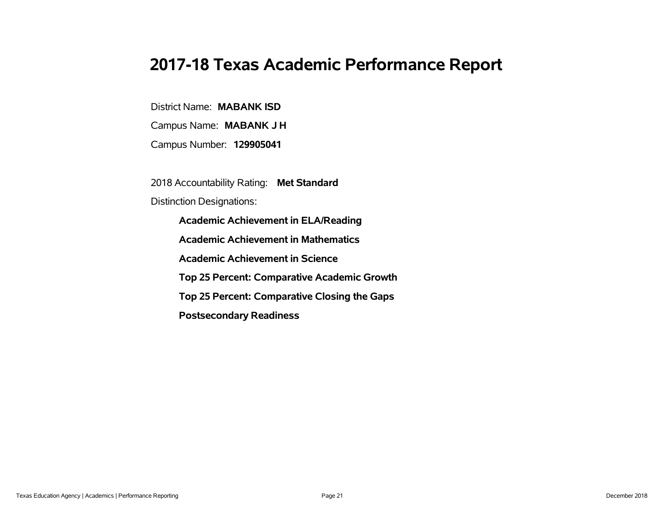# **2017-18 Texas Academic Performance Report**

District Name: **MABANK ISD**

Campus Name: **MABANK J H**

Campus Number: **129905041**

2018 Accountability Rating: **Met Standard**

Distinction Designations:

**Academic Achievement in ELA/Reading**

**Academic Achievement in Mathematics**

**Academic Achievement in Science**

**Top 25 Percent: Comparative Academic Growth**

**Top 25 Percent: Comparative Closing the Gaps**

**Postsecondary Readiness**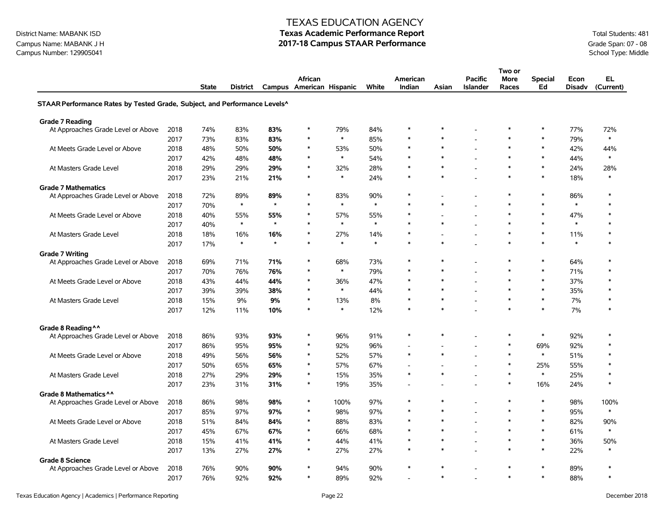# District Name: MABANK ISD **Texas Academic Performance Report Texas Academic Performance Report** Total Students: 481

Campus Name: MABANK J H **2017-18 Campus STAAR Performance** Grade Span: 07 - 08 Campus Number: 129905041<br>Campus Number: 129905041 School Type: Middle Campus Number: 129905041

|                                                                                       |              |              |                 |         |                                     |               |            |                    |        |                                   | Two or               |                      |                       |                  |
|---------------------------------------------------------------------------------------|--------------|--------------|-----------------|---------|-------------------------------------|---------------|------------|--------------------|--------|-----------------------------------|----------------------|----------------------|-----------------------|------------------|
|                                                                                       |              | <b>State</b> | <b>District</b> |         | African<br>Campus American Hispanic |               | White      | American<br>Indian | Asian  | <b>Pacific</b><br><b>Islander</b> | <b>More</b><br>Races | <b>Special</b><br>Ed | Econ<br><b>Disadv</b> | EL.<br>(Current) |
| STAAR Performance Rates by Tested Grade, Subject, and Performance Levels <sup>^</sup> |              |              |                 |         |                                     |               |            |                    |        |                                   |                      |                      |                       |                  |
| <b>Grade 7 Reading</b>                                                                |              |              |                 |         |                                     |               |            |                    |        |                                   |                      |                      |                       |                  |
| At Approaches Grade Level or Above                                                    | 2018         | 74%          | 83%             | 83%     | $\ast$                              | 79%           | 84%        | $\ast$             | $\ast$ |                                   | $\ast$               | $\ast$               | 77%                   | 72%              |
|                                                                                       | 2017         | 73%          | 83%             | 83%     | $\ast$                              | $\ast$        | 85%        | $\ast$             | $\ast$ |                                   | $\ast$               | $\ast$               | 79%                   | $\ast$           |
| At Meets Grade Level or Above                                                         | 2018         | 48%          | 50%             | 50%     | $\ast$                              | 53%           | 50%        | $\ast$             | $\ast$ |                                   | $\ast$               | $\ast$               | 42%                   | 44%              |
|                                                                                       | 2017         | 42%          | 48%             | 48%     | $\ast$                              | $\ast$        | 54%        | $\ast$             | $\ast$ | L,                                | $\ast$               | $\ast$               | 44%                   | $\ast$           |
| At Masters Grade Level                                                                | 2018         | 29%          | 29%             | 29%     | $\ast$                              | 32%           | 28%        | $\ast$             | $\ast$ | $\overline{a}$                    | $\ast$               | $\ast$               | 24%                   | 28%              |
|                                                                                       | 2017         | 23%          | 21%             | 21%     | $\ast$                              | $\ast$        | 24%        | $\ast$             | $\ast$ |                                   | $\ast$               | $\ast$               | 18%                   | $\ast$           |
| <b>Grade 7 Mathematics</b>                                                            |              |              |                 |         |                                     |               |            |                    |        |                                   |                      |                      |                       |                  |
| At Approaches Grade Level or Above                                                    | 2018         | 72%          | 89%             | 89%     | $\ast$                              | 83%           | 90%        | $\ast$             |        |                                   | $\ast$               | $\ast$               | 86%                   | $\ast$           |
|                                                                                       | 2017         | 70%          | $\ast$          | $\star$ | $\ast$                              | $\ast$        | $\ast$     | $\ast$             | $\ast$ |                                   | $\ast$               | $\ast$               | $\ast$                | $\ast$           |
| At Meets Grade Level or Above                                                         | 2018         | 40%          | 55%             | 55%     | ∗                                   | 57%           | 55%        | $\ast$             |        |                                   | $\ast$               | $\ast$               | 47%                   | $\ast$           |
|                                                                                       | 2017         | 40%          | $\ast$          | $\star$ | $\ast$                              | $\ast$        | $\ast$     | $\ast$             | $\ast$ |                                   | ∗                    | $\ast$               | $\ast$                | $\ast$           |
| At Masters Grade Level                                                                | 2018         | 18%          | 16%             | 16%     | $\ast$                              | 27%           | 14%        | $\ast$             |        |                                   | $\ast$               | $\ast$               | 11%                   | $\ast$           |
|                                                                                       | 2017         | 17%          | $\ast$          | $\star$ | $\ast$                              | $\ast$        | $\ast$     | $\ast$             | $\ast$ |                                   | $\ast$               | $\ast$               | $\ast$                | $\ast$           |
| <b>Grade 7 Writing</b>                                                                |              |              |                 | 71%     | $\ast$                              | 68%           |            | $\ast$             | $\ast$ |                                   | $\ast$               | $\ast$               | 64%                   | $\ast$           |
| At Approaches Grade Level or Above                                                    | 2018<br>2017 | 69%          | 71%<br>76%      | 76%     | $\ast$                              | $\ast$        | 73%<br>79% | $\ast$             | $\ast$ |                                   | $\ast$               | $\ast$               | 71%                   | $\ast$           |
|                                                                                       |              | 70%          |                 |         | $\ast$                              |               |            | $\ast$             | $\ast$ |                                   | $\ast$               | $\ast$               |                       | $\ast$           |
| At Meets Grade Level or Above                                                         | 2018         | 43%          | 44%             | 44%     | $\ast$                              | 36%<br>$\ast$ | 47%        | $\ast$             | $\ast$ |                                   | $\ast$               | $\ast$               | 37%                   | $\ast$           |
|                                                                                       | 2017         | 39%          | 39%             | 38%     | $\ast$                              |               | 44%        | $\ast$             | $\ast$ | $\blacksquare$                    | $\ast$               | $\ast$               | 35%                   | $\ast$           |
| At Masters Grade Level                                                                | 2018         | 15%          | 9%              | 9%      | $\ast$                              | 13%<br>*      | 8%         | $\ast$             | $\ast$ |                                   | $\ast$               | $\ast$               | 7%                    | $\ast$           |
|                                                                                       | 2017         | 12%          | 11%             | 10%     |                                     |               | 12%        |                    |        |                                   |                      |                      | 7%                    |                  |
| Grade 8 Reading ^^                                                                    |              |              |                 |         |                                     |               |            |                    |        |                                   |                      |                      |                       |                  |
| At Approaches Grade Level or Above                                                    | 2018         | 86%          | 93%             | 93%     | $\ast$                              | 96%           | 91%        | $\ast$             | $\ast$ |                                   | $\ast$               | $\ast$               | 92%                   | $\ast$           |
|                                                                                       | 2017         | 86%          | 95%             | 95%     | $\ast$                              | 92%           | 96%        |                    |        | ٠                                 | $\ast$               | 69%                  | 92%                   | $\ast$           |
| At Meets Grade Level or Above                                                         | 2018         | 49%          | 56%             | 56%     | $\ast$                              | 52%           | 57%        | $\ast$             | $\ast$ |                                   | $\ast$               | $\ast$               | 51%                   | $\ast$           |
|                                                                                       | 2017         | 50%          | 65%             | 65%     | $\ast$                              | 57%           | 67%        |                    |        |                                   | $\ast$               | 25%                  | 55%                   | $\ast$           |
| At Masters Grade Level                                                                | 2018         | 27%          | 29%             | 29%     | ∗                                   | 15%           | 35%        | $\ast$             | $\ast$ | ٠                                 | ∗                    | $\ast$               | 25%                   | $\ast$           |
|                                                                                       | 2017         | 23%          | 31%             | 31%     | ∗                                   | 19%           | 35%        |                    |        |                                   | $\ast$               | 16%                  | 24%                   | $\ast$           |
| Grade 8 Mathematics ^^                                                                |              |              |                 |         |                                     |               |            |                    |        |                                   |                      |                      |                       |                  |
| At Approaches Grade Level or Above                                                    | 2018         | 86%          | 98%             | 98%     | $\ast$                              | 100%          | 97%        | $\ast$             | $\ast$ | $\overline{\phantom{a}}$          | $\ast$               | $\ast$               | 98%                   | 100%             |
|                                                                                       | 2017         | 85%          | 97%             | 97%     | $\ast$                              | 98%           | 97%        | $\ast$             | $\ast$ |                                   | $\ast$               | $\ast$               | 95%                   | $\ast$           |
| At Meets Grade Level or Above                                                         | 2018         | 51%          | 84%             | 84%     | $\ast$                              | 88%           | 83%        | $\ast$             | $\ast$ | Ĭ.                                | $\ast$               | $\ast$               | 82%                   | 90%              |
|                                                                                       | 2017         | 45%          | 67%             | 67%     | $\ast$                              | 66%           | 68%        | $\ast$             | $\ast$ |                                   | $\ast$               | $\ast$               | 61%                   | $\ast$           |
| At Masters Grade Level                                                                | 2018         | 15%          | 41%             | 41%     | $\ast$                              | 44%           | 41%        | $\ast$             | $\ast$ | $\overline{\phantom{a}}$          | $\ast$               | $\ast$               | 36%                   | 50%              |
|                                                                                       | 2017         | 13%          | 27%             | 27%     | $\ast$                              | 27%           | 27%        | $\ast$             | $\ast$ |                                   | $\ast$               | $\ast$               | 22%                   | $\ast$           |
| <b>Grade 8 Science</b>                                                                |              |              |                 |         |                                     |               |            |                    |        |                                   |                      |                      |                       |                  |
| At Approaches Grade Level or Above                                                    | 2018         | 76%          | 90%             | 90%     |                                     | 94%           | 90%        | $\ast$             | $\ast$ | ÷,                                | $\ast$               | $\ast$               | 89%                   | $\ast$           |
|                                                                                       | 2017         | 76%          | 92%             | 92%     | $\ast$                              | 89%           | 92%        |                    | $\ast$ | ÷                                 | $\ast$               | $\ast$               | 88%                   | $\ast$           |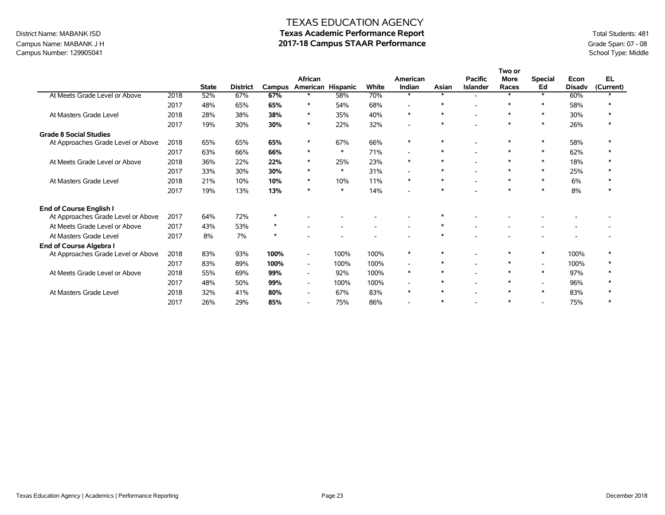## Campus Name: MABANK J H **2017-18 Campus STAAR Performance** Grade Span: 07 - 08 Campus Number: 129905041<br>Campus Number: 129905041 School Type: Middle Campus Number: 129905041

## TEXAS EDUCATION AGENCY District Name: MABANK ISD **Texas Academic Performance Report Texas Academic Performance Report** Total Students: 481

|                                    |      |              |                 |               |                          |        |                          |                          |        |                          | Two or      |                          |               |           |
|------------------------------------|------|--------------|-----------------|---------------|--------------------------|--------|--------------------------|--------------------------|--------|--------------------------|-------------|--------------------------|---------------|-----------|
|                                    |      |              |                 |               | African                  |        |                          | American                 |        | <b>Pacific</b>           | <b>More</b> | <b>Special</b>           | Econ          | EL.       |
|                                    |      | <b>State</b> | <b>District</b> | <b>Campus</b> | American Hispanic        |        | <b>White</b>             | Indian                   | Asian  | <b>Islander</b>          | Races       | Ed                       | <b>Disadv</b> | (Current) |
| At Meets Grade Level or Above      | 2018 | 52%          | 67%             | 67%           | $\ast$                   | 58%    | 70%                      | $\ast$                   | $\ast$ | ۰.                       | $\ast$      | $\ast$                   | 60%           |           |
|                                    | 2017 | 48%          | 65%             | 65%           | $\ast$                   | 54%    | 68%                      | L,                       | $\ast$ | $\blacksquare$           | $\ast$      | $\ast$                   | 58%           |           |
| At Masters Grade Level             | 2018 | 28%          | 38%             | 38%           | $\ast$                   | 35%    | 40%                      | $\ast$                   | $\ast$ | $\overline{\phantom{0}}$ | $\ast$      | $\ast$                   | 30%           |           |
|                                    | 2017 | 19%          | 30%             | 30%           | $\ast$                   | 22%    | 32%                      | $\overline{\phantom{0}}$ | $\ast$ |                          | $\ast$      | $\ast$                   | 26%           |           |
| <b>Grade 8 Social Studies</b>      |      |              |                 |               |                          |        |                          |                          |        |                          |             |                          |               |           |
| At Approaches Grade Level or Above | 2018 | 65%          | 65%             | 65%           | $\ast$                   | 67%    | 66%                      | $\ast$                   | ∗      |                          | $\ast$      | $\ast$                   | 58%           |           |
|                                    | 2017 | 63%          | 66%             | 66%           | $\ast$                   | $\ast$ | 71%                      | $\overline{\phantom{a}}$ | $\ast$ | $\overline{\phantom{a}}$ | $\ast$      | $\ast$                   | 62%           |           |
| At Meets Grade Level or Above      | 2018 | 36%          | 22%             | 22%           | $\ast$                   | 25%    | 23%                      | $\ast$                   | $\ast$ | $\overline{\phantom{0}}$ | $\ast$      | $\ast$                   | 18%           |           |
|                                    | 2017 | 33%          | 30%             | 30%           | $\ast$                   | $\ast$ | 31%                      | $\overline{\phantom{a}}$ | ∗      | $\overline{\phantom{0}}$ | $\ast$      | $\ast$                   | 25%           |           |
| At Masters Grade Level             | 2018 | 21%          | 10%             | 10%           | $\ast$                   | 10%    | 11%                      | $\ast$                   | $\ast$ | $\blacksquare$           | $\ast$      | $\ast$                   | 6%            |           |
|                                    | 2017 | 19%          | 13%             | 13%           | $\ast$                   | $*$    | 14%                      | $\overline{a}$           | $\ast$ | ۰                        | $\ast$      | $\ast$                   | 8%            |           |
| <b>End of Course English I</b>     |      |              |                 |               |                          |        |                          |                          |        |                          |             |                          |               |           |
| At Approaches Grade Level or Above | 2017 | 64%          | 72%             | $\star$       |                          |        |                          |                          | ∗      |                          |             |                          |               |           |
| At Meets Grade Level or Above      | 2017 | 43%          | 53%             | $\star$       |                          |        | $\overline{\phantom{a}}$ | $\overline{\phantom{a}}$ | $\ast$ | $\overline{\phantom{0}}$ |             |                          |               |           |
| At Masters Grade Level             | 2017 | 8%           | 7%              | $\star$       |                          |        |                          |                          | $\ast$ |                          |             |                          |               |           |
| End of Course Algebra I            |      |              |                 |               |                          |        |                          |                          |        |                          |             |                          |               |           |
| At Approaches Grade Level or Above | 2018 | 83%          | 93%             | 100%          | $\overline{\phantom{a}}$ | 100%   | 100%                     | $\ast$                   | ∗      |                          | $\ast$      | $\ast$                   | 100%          |           |
|                                    | 2017 | 83%          | 89%             | 100%          | $\overline{\phantom{a}}$ | 100%   | 100%                     | $\overline{a}$           | ∗      | $\overline{\phantom{0}}$ | $\ast$      | $\overline{\phantom{a}}$ | 100%          |           |
| At Meets Grade Level or Above      | 2018 | 55%          | 69%             | 99%           | $\overline{\phantom{0}}$ | 92%    | 100%                     | $\ast$                   | ∗      |                          | $\ast$      | $\ast$                   | 97%           |           |
|                                    | 2017 | 48%          | 50%             | 99%           | $\overline{\phantom{0}}$ | 100%   | 100%                     | $\overline{\phantom{a}}$ | ∗      | $\blacksquare$           | $\ast$      | $\sim$                   | 96%           |           |
| At Masters Grade Level             | 2018 | 32%          | 41%             | 80%           | $\overline{\phantom{a}}$ | 67%    | 83%                      | $\ast$                   | $\ast$ | ۰                        | $\ast$      | $\ast$                   | 83%           |           |
|                                    | 2017 | 26%          | 29%             | 85%           | $\overline{\phantom{a}}$ | 75%    | 86%                      | $\overline{a}$           | $\ast$ |                          | $\ast$      | $\overline{a}$           | 75%           |           |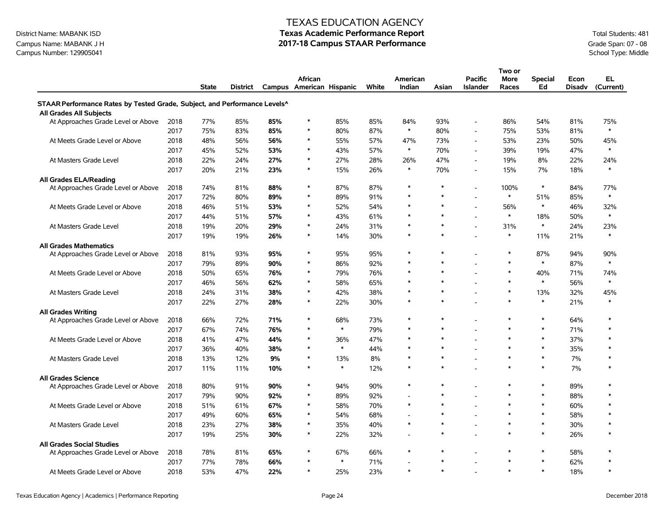## Campus Name: MABANK J H **2017-18 Campus STAAR Performance** Grade Span: 07 - 08 Campus Number: 129905041<br>Campus Number: 129905041 School Type: Middle Campus Number: 129905041

### TEXAS EDUCATION AGENCY

# District Name: MABANK ISD **Texas Academic Performance Report Texas Academic Performance Report** Total Students: 481

|                                                                           |      |       |          |     |                          |        |       |                |        |                          | Two or |                |               |           |
|---------------------------------------------------------------------------|------|-------|----------|-----|--------------------------|--------|-------|----------------|--------|--------------------------|--------|----------------|---------------|-----------|
|                                                                           |      |       |          |     | African                  |        |       | American       |        | <b>Pacific</b>           | More   | <b>Special</b> | Econ          | EL        |
|                                                                           |      | State | District |     | Campus American Hispanic |        | White | Indian         | Asian  | <b>Islander</b>          | Races  | Ed             | <b>Disadv</b> | (Current) |
| STAAR Performance Rates by Tested Grade, Subject, and Performance Levels^ |      |       |          |     |                          |        |       |                |        |                          |        |                |               |           |
| <b>All Grades All Subjects</b>                                            |      |       |          |     |                          |        |       |                |        |                          |        |                |               |           |
| At Approaches Grade Level or Above                                        | 2018 | 77%   | 85%      | 85% | $\ast$                   | 85%    | 85%   | 84%            | 93%    |                          | 86%    | 54%            | 81%           | 75%       |
|                                                                           | 2017 | 75%   | 83%      | 85% | *                        | 80%    | 87%   | $\ast$         | 80%    |                          | 75%    | 53%            | 81%           | $\ast$    |
| At Meets Grade Level or Above                                             | 2018 | 48%   | 56%      | 56% | *                        | 55%    | 57%   | 47%            | 73%    |                          | 53%    | 23%            | 50%           | 45%       |
|                                                                           | 2017 | 45%   | 52%      | 53% | $\ast$                   | 43%    | 57%   | $\ast$         | 70%    |                          | 39%    | 19%            | 47%           | $\ast$    |
| At Masters Grade Level                                                    | 2018 | 22%   | 24%      | 27% | $\ast$                   | 27%    | 28%   | 26%            | 47%    |                          | 19%    | 8%             | 22%           | 24%       |
|                                                                           | 2017 | 20%   | 21%      | 23% | $\ast$                   | 15%    | 26%   | $\ast$         | 70%    |                          | 15%    | 7%             | 18%           | $\ast$    |
| <b>All Grades ELA/Reading</b>                                             |      |       |          |     |                          |        |       |                |        |                          |        |                |               |           |
| At Approaches Grade Level or Above                                        | 2018 | 74%   | 81%      | 88% | $\ast$                   | 87%    | 87%   | $\ast$         | $\ast$ |                          | 100%   | $\ast$         | 84%           | 77%       |
|                                                                           | 2017 | 72%   | 80%      | 89% | $\ast$                   | 89%    | 91%   | $\ast$         | $\ast$ |                          | $\ast$ | 51%            | 85%           | $\ast$    |
| At Meets Grade Level or Above                                             | 2018 | 46%   | 51%      | 53% | $\ast$                   | 52%    | 54%   | $\ast$         | $\ast$ |                          | 56%    | $\ast$         | 46%           | 32%       |
|                                                                           | 2017 | 44%   | 51%      | 57% | $\ast$                   | 43%    | 61%   | $\ast$         | $\ast$ |                          | $\ast$ | 18%            | 50%           | $\ast$    |
| At Masters Grade Level                                                    | 2018 | 19%   | 20%      | 29% | $\ast$                   | 24%    | 31%   | $\ast$         | $\ast$ |                          | 31%    | $\ast$         | 24%           | 23%       |
|                                                                           | 2017 | 19%   | 19%      | 26% | $\ast$                   | 14%    | 30%   | $\ast$         | $\ast$ |                          | $\ast$ | 11%            | 21%           | $\ast$    |
| <b>All Grades Mathematics</b>                                             |      |       |          |     |                          |        |       |                |        |                          |        |                |               |           |
| At Approaches Grade Level or Above                                        | 2018 | 81%   | 93%      | 95% | $\ast$                   | 95%    | 95%   | $\ast$         | $\ast$ |                          | $\ast$ | 87%            | 94%           | 90%       |
|                                                                           | 2017 | 79%   | 89%      | 90% | $\ast$                   | 86%    | 92%   | $\ast$         | $\ast$ |                          | $\ast$ | $\ast$         | 87%           | $\ast$    |
| At Meets Grade Level or Above                                             | 2018 | 50%   | 65%      | 76% | $\ast$                   | 79%    | 76%   | $\ast$         | $\ast$ |                          | $\ast$ | 40%            | 71%           | 74%       |
|                                                                           | 2017 | 46%   | 56%      | 62% | $\ast$                   | 58%    | 65%   | $\ast$         | $\ast$ |                          | $\ast$ | $\ast$         | 56%           | $\ast$    |
| At Masters Grade Level                                                    | 2018 | 24%   | 31%      | 38% | $\ast$                   | 42%    | 38%   | $\ast$         | $\ast$ |                          | $\ast$ | 13%            | 32%           | 45%       |
|                                                                           | 2017 | 22%   | 27%      | 28% | $\ast$                   | 22%    | 30%   | $\ast$         | $\ast$ |                          | $\ast$ | $\ast$         | 21%           | $\ast$    |
| <b>All Grades Writing</b>                                                 |      |       |          |     |                          |        |       |                |        |                          |        |                |               |           |
| At Approaches Grade Level or Above                                        | 2018 | 66%   | 72%      | 71% | $\ast$                   | 68%    | 73%   | $\ast$         | $\ast$ |                          | $\ast$ | $\ast$         | 64%           | $\ast$    |
|                                                                           | 2017 | 67%   | 74%      | 76% | $\ast$                   | $\ast$ | 79%   | $\ast$         | $\ast$ |                          | $\ast$ | $\ast$         | 71%           | $\ast$    |
| At Meets Grade Level or Above                                             | 2018 | 41%   | 47%      | 44% | $\ast$                   | 36%    | 47%   | $\ast$         | $\ast$ |                          | $\ast$ | $\ast$         | 37%           | $\ast$    |
|                                                                           | 2017 | 36%   | 40%      | 38% | $\ast$                   | $\ast$ | 44%   | $\ast$         | $\ast$ |                          | $\ast$ | $\ast$         | 35%           | $\ast$    |
| At Masters Grade Level                                                    | 2018 | 13%   | 12%      | 9%  | $\ast$                   | 13%    | 8%    | $\ast$         | $\ast$ |                          | $\ast$ | $\ast$         | 7%            | $\ast$    |
|                                                                           | 2017 | 11%   | 11%      | 10% | $\ast$                   | $\ast$ | 12%   | $\ast$         | $\ast$ |                          | $\ast$ | $\ast$         | 7%            | $\ast$    |
| <b>All Grades Science</b>                                                 |      |       |          |     |                          |        |       |                |        |                          |        |                |               |           |
| At Approaches Grade Level or Above                                        | 2018 | 80%   | 91%      | 90% | $\ast$                   | 94%    | 90%   | $\ast$         | $\ast$ |                          | $\ast$ | $\ast$         | 89%           | $\ast$    |
|                                                                           | 2017 | 79%   | 90%      | 92% | $\ast$                   | 89%    | 92%   | Ĭ.             | $\ast$ |                          | $\ast$ | $\ast$         | 88%           | $\ast$    |
| At Meets Grade Level or Above                                             | 2018 | 51%   | 61%      | 67% | $\ast$                   | 58%    | 70%   | $\ast$         | $\ast$ |                          | $\ast$ | $\ast$         | 60%           | $\ast$    |
|                                                                           | 2017 | 49%   | 60%      | 65% | $\ast$                   | 54%    | 68%   | $\overline{a}$ | ∗      |                          | $\ast$ | $\ast$         | 58%           | $\ast$    |
| At Masters Grade Level                                                    | 2018 | 23%   | 27%      | 38% | $\ast$                   | 35%    | 40%   | $\ast$         | $\ast$ | $\overline{\phantom{a}}$ | $\ast$ | *              | 30%           | $\ast$    |
|                                                                           | 2017 | 19%   | 25%      | 30% | $\ast$                   | 22%    | 32%   | $\overline{a}$ | $\ast$ |                          | $\ast$ | $\ast$         | 26%           | $\ast$    |
| <b>All Grades Social Studies</b>                                          |      |       |          |     |                          |        |       |                |        |                          |        |                |               |           |
| At Approaches Grade Level or Above                                        | 2018 | 78%   | 81%      | 65% | *                        | 67%    | 66%   | $\ast$         | $\ast$ |                          | $\ast$ | $\ast$         | 58%           | $\ast$    |
|                                                                           | 2017 | 77%   | 78%      | 66% |                          | $\ast$ | 71%   | $\overline{a}$ | $\ast$ |                          | $\ast$ | $\ast$         | 62%           | $\ast$    |
| At Meets Grade Level or Above                                             | 2018 | 53%   | 47%      | 22% | $\ast$                   | 25%    | 23%   | $\ast$         | $\ast$ |                          | $\ast$ | $\ast$         | 18%           | $\ast$    |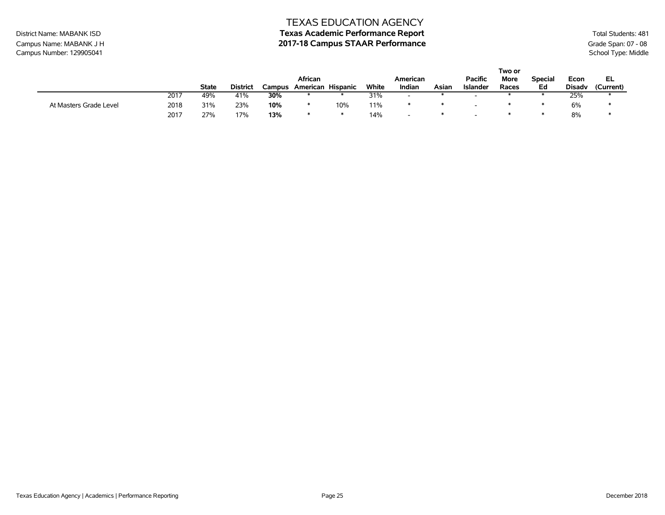# District Name: MABANK ISD **Texas Academic Performance Report Texas Academic Performance Report** Total Students: 481

Campus Name: MABANK J H **2017-18 Campus STAAR Performance** Grade Span: 07 - 08 Campus Number: 129905041<br>Campus Number: 129905041 School Type: Middle Campus Number: 129905041

|                        |      |       |                 |     |                          |     |       |                          |       |                 | Two or |                |               |           |
|------------------------|------|-------|-----------------|-----|--------------------------|-----|-------|--------------------------|-------|-----------------|--------|----------------|---------------|-----------|
|                        |      |       |                 |     | African                  |     |       | American                 |       | <b>Pacific</b>  | More   | <b>Special</b> | Econ          | EL        |
|                        |      | State | <b>District</b> |     | Campus American Hispanic |     | White | Indian                   | Asian | <b>Islander</b> | Races  | Ed             | <b>Disady</b> | (Current) |
|                        | 2017 | 49%   | 41%             | 30% |                          |     | 31%   | $\overline{\phantom{0}}$ |       |                 |        |                | 25%           |           |
| At Masters Grade Level | 2018 | 31%   | 23%             | 10% |                          | 10% | 11%   |                          |       |                 |        |                | 6%            |           |
|                        | 2017 | 27%   | 17%             | 13% |                          |     | 14%   | $\overline{\phantom{0}}$ |       |                 |        |                | 8%            |           |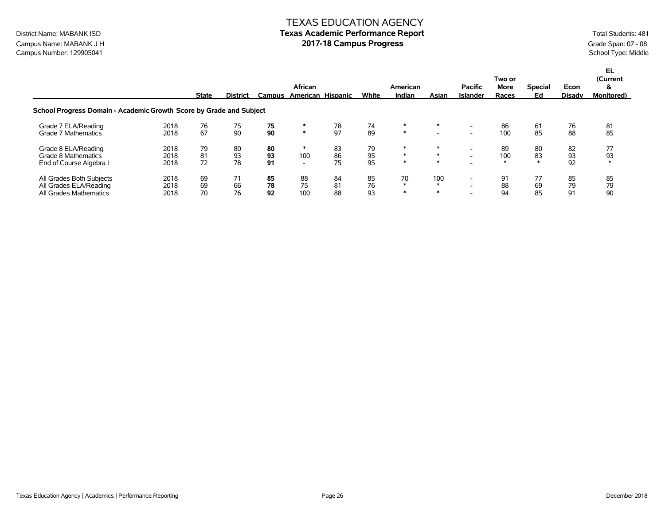# TEXAS EDUCATION AGENCY District Name: MABANK ISD **Texas Academic Performance Report Texas Academic Performance Report** Total Students: 481

Campus Name: MABANK J H<br>
Campus Number: 129905041<br>
Campus Number: 129905041<br>
School Type: Middle Campus Number: 129905041

|                                                                              |                      | <b>State</b>   | <b>District</b> | Campus         | African<br>American Hispanic         |                | White          | American<br>Indian     | Asian                              | Pacific<br><b>Islander</b>                           | Two or<br>More<br>Races | <b>Special</b><br>Ed | Econ<br><b>Disadv</b> | EL.<br>(Current<br>&<br><b>Monitored)</b> |
|------------------------------------------------------------------------------|----------------------|----------------|-----------------|----------------|--------------------------------------|----------------|----------------|------------------------|------------------------------------|------------------------------------------------------|-------------------------|----------------------|-----------------------|-------------------------------------------|
| School Progress Domain - Academic Growth Score by Grade and Subject          |                      |                |                 |                |                                      |                |                |                        |                                    |                                                      |                         |                      |                       |                                           |
| Grade 7 ELA/Reading<br>Grade 7 Mathematics                                   | 2018<br>2018         | 76<br>67       | 75<br>90        | 75<br>90       | $\ast$                               | 78<br>97       | 74<br>89       | $\ast$<br>$*$          | $\ast$<br>$\overline{\phantom{a}}$ | $\overline{\phantom{a}}$<br>$\overline{\phantom{a}}$ | 86<br>100               | 61<br>85             | 76<br>88              | 81<br>85                                  |
| Grade 8 ELA/Reading<br>Grade 8 Mathematics<br>End of Course Algebra I        | 2018<br>2018<br>2018 | 79<br>81<br>72 | 80<br>93<br>78  | 80<br>93<br>91 | ∗<br>100<br>$\overline{\phantom{0}}$ | 83<br>86<br>75 | 79<br>95<br>95 | ∗<br>$\ast$<br>$\ast$  | $\ast$<br>$\ast$<br>$\ast$         | $\overline{\phantom{0}}$<br>$\overline{\phantom{a}}$ | 89<br>100<br>$\star$    | 80<br>83<br>$\ast$   | 82<br>93<br>92        | 77<br>93<br>$\ast$                        |
| All Grades Both Subjects<br>All Grades ELA/Reading<br>All Grades Mathematics | 2018<br>2018<br>2018 | 69<br>69<br>70 | 71<br>66<br>76  | 85<br>78<br>92 | 88<br>75<br>100                      | 84<br>81<br>88 | 85<br>76<br>93 | 70<br>$\ast$<br>$\ast$ | 100<br>$\ast$<br>$\ast$            | $\overline{\phantom{0}}$<br>-                        | 91<br>88<br>94          | 77<br>69<br>85       | 85<br>79<br>91        | 85<br>79<br>90                            |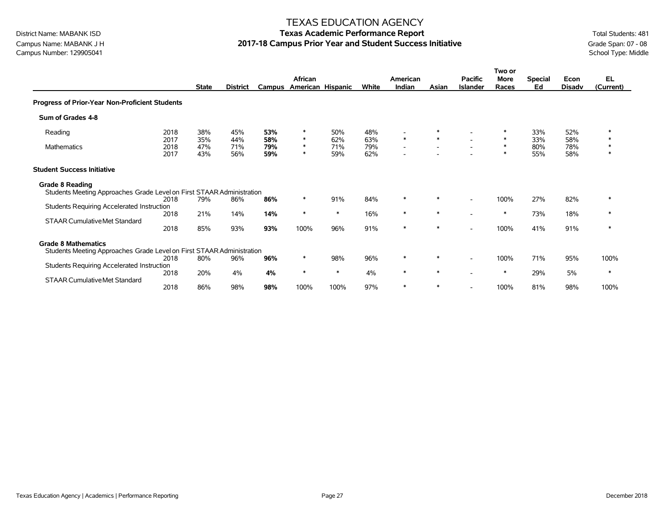Campus Name: MABANK J H **2017-18 Campus Prior Year and Student Success Initiative** Grade Span: 07 - 08<br>Campus Number: 129905041<br>School Type: Middle Campus Number: 129905041

### TEXAS EDUCATION AGENCY

# District Name: MABANK ISD **Texas Academic Performance Report Texas Academic Performance Report** Total Students: 481

|                                                                                                     |                              | <b>State</b>             | <b>District</b>          |                          | African<br>Campus American Hispanic  |                          | White                    | American<br>Indian                                                                         | Asian                              | <b>Pacific</b><br><b>Islander</b> | Two or<br><b>More</b><br>Races | <b>Special</b><br>Ed     | Econ<br><b>Disadv</b>    | EL.<br>(Current)      |
|-----------------------------------------------------------------------------------------------------|------------------------------|--------------------------|--------------------------|--------------------------|--------------------------------------|--------------------------|--------------------------|--------------------------------------------------------------------------------------------|------------------------------------|-----------------------------------|--------------------------------|--------------------------|--------------------------|-----------------------|
| Progress of Prior-Year Non-Proficient Students                                                      |                              |                          |                          |                          |                                      |                          |                          |                                                                                            |                                    |                                   |                                |                          |                          |                       |
| Sum of Grades 4-8                                                                                   |                              |                          |                          |                          |                                      |                          |                          |                                                                                            |                                    |                                   |                                |                          |                          |                       |
| Reading<br>Mathematics                                                                              | 2018<br>2017<br>2018<br>2017 | 38%<br>35%<br>47%<br>43% | 45%<br>44%<br>71%<br>56% | 53%<br>58%<br>79%<br>59% | $\ast$<br>$\ast$<br>$\ast$<br>$\ast$ | 50%<br>62%<br>71%<br>59% | 48%<br>63%<br>79%<br>62% | $\overline{\phantom{a}}$<br>$\ast$<br>$\overline{\phantom{a}}$<br>$\overline{\phantom{a}}$ | $\ast$<br>$\overline{\phantom{a}}$ |                                   | $\ast$<br>$\ast$<br>$\ast$     | 33%<br>33%<br>80%<br>55% | 52%<br>58%<br>78%<br>58% | ∗<br>$\ast$<br>$\ast$ |
| <b>Student Success Initiative</b>                                                                   |                              |                          |                          |                          |                                      |                          |                          |                                                                                            |                                    |                                   |                                |                          |                          |                       |
| <b>Grade 8 Reading</b><br>Students Meeting Approaches Grade Level on First STAAR Administration     | 2018                         | 79%                      | 86%                      | 86%                      | $\ast$                               | 91%                      | 84%                      | $\ast$                                                                                     | $\ast$                             |                                   | 100%                           | 27%                      | 82%                      | $\ast$                |
| Students Requiring Accelerated Instruction<br><b>STAAR Cumulative Met Standard</b>                  | 2018<br>2018                 | 21%<br>85%               | 14%<br>93%               | 14%<br>93%               | $\ast$<br>100%                       | $\ast$<br>96%            | 16%<br>91%               | $\ast$<br>$\ast$                                                                           | $\ast$<br>∗                        |                                   | $\ast$<br>100%                 | 73%<br>41%               | 18%<br>91%               | $\ast$<br>$\ast$      |
| <b>Grade 8 Mathematics</b><br>Students Meeting Approaches Grade Level on First STAAR Administration | 2018                         | 80%                      | 96%                      | 96%                      | $\ast$                               | 98%                      | 96%                      | $\ast$                                                                                     | $\ast$                             |                                   | 100%                           | 71%                      | 95%                      | 100%                  |
| Students Requiring Accelerated Instruction<br><b>STAAR Cumulative Met Standard</b>                  | 2018                         | 20%                      | 4%                       | 4%                       | $\ast$                               | $\ast$                   | 4%                       | $\ast$                                                                                     | $\ast$                             |                                   | $\ast$                         | 29%                      | 5%                       | $\ast$                |
|                                                                                                     | 2018                         | 86%                      | 98%                      | 98%                      | 100%                                 | 100%                     | 97%                      | $\ast$                                                                                     | $\ast$                             |                                   | 100%                           | 81%                      | 98%                      | 100%                  |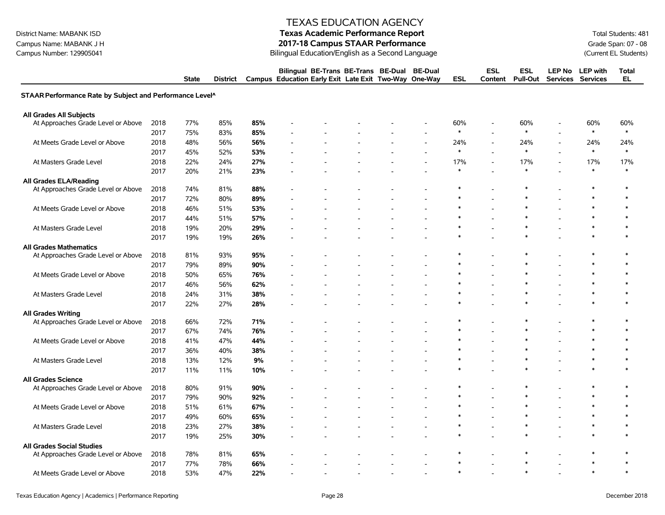# District Name: MABANK ISD **Texas Academic Performance Report Texas Academic Performance Report** Total Students: 481

Campus Name: MABANK J H **2017-18 Campus STAAR Performance**<br>Campus Number: 129905041 Grade Span: 07 - 08<br>Bilingual Education/English as a Second Language Campus Number: 129905041 (Current EL Students) Bilingual Education/English as a Second Language

|                                                          |      | <b>State</b> | District |     | Bilingual BE-Trans BE-Trans BE-Dual<br>Campus Education Early Exit Late Exit Two-Way |  | <b>BE-Dual</b><br>One-Way | <b>ESL</b> | <b>ESL</b><br>Content    | <b>ESL</b><br><b>Pull-Out</b> | <b>LEP No</b> | <b>LEP</b> with<br>Services Services | <b>Total</b><br>EL |
|----------------------------------------------------------|------|--------------|----------|-----|--------------------------------------------------------------------------------------|--|---------------------------|------------|--------------------------|-------------------------------|---------------|--------------------------------------|--------------------|
| STAAR Performance Rate by Subject and Performance Level^ |      |              |          |     |                                                                                      |  |                           |            |                          |                               |               |                                      |                    |
| All Grades All Subjects                                  |      |              |          |     |                                                                                      |  |                           |            |                          |                               |               |                                      |                    |
| At Approaches Grade Level or Above                       | 2018 | 77%          | 85%      | 85% |                                                                                      |  |                           | 60%        | $\blacksquare$           | 60%                           |               | 60%                                  | 60%                |
|                                                          | 2017 | 75%          | 83%      | 85% |                                                                                      |  |                           | $\ast$     |                          | $\ast$                        |               | $\ast$                               | $\ast$             |
| At Meets Grade Level or Above                            | 2018 | 48%          | 56%      | 56% |                                                                                      |  |                           | 24%        |                          | 24%                           |               | 24%                                  | 24%                |
|                                                          | 2017 | 45%          | 52%      | 53% |                                                                                      |  |                           | $\ast$     | $\overline{\phantom{a}}$ | $\ast$                        |               | $\ast$                               | $\ast$             |
| At Masters Grade Level                                   | 2018 | 22%          | 24%      | 27% |                                                                                      |  |                           | 17%        | $\overline{a}$           | 17%                           |               | 17%                                  | 17%                |
|                                                          | 2017 | 20%          | 21%      | 23% |                                                                                      |  |                           | *          |                          | $\ast$                        |               | $\ast$                               | $\ast$             |
| All Grades ELA/Reading                                   |      |              |          |     |                                                                                      |  |                           |            |                          |                               |               |                                      |                    |
| At Approaches Grade Level or Above                       | 2018 | 74%          | 81%      | 88% |                                                                                      |  |                           |            |                          | $\ast$                        |               |                                      | ∗                  |
|                                                          | 2017 | 72%          | 80%      | 89% |                                                                                      |  |                           |            |                          |                               |               |                                      |                    |
| At Meets Grade Level or Above                            | 2018 | 46%          | 51%      | 53% |                                                                                      |  |                           |            |                          | $\ast$                        |               |                                      | $\ast$             |
|                                                          | 2017 | 44%          | 51%      | 57% |                                                                                      |  |                           |            |                          | $\ast$                        |               |                                      |                    |
| At Masters Grade Level                                   | 2018 | 19%          | 20%      | 29% |                                                                                      |  |                           |            |                          | $\ast$                        |               | $\ast$                               |                    |
|                                                          | 2017 | 19%          | 19%      | 26% |                                                                                      |  |                           |            |                          |                               |               |                                      |                    |
| <b>All Grades Mathematics</b>                            |      |              |          |     |                                                                                      |  |                           |            |                          |                               |               |                                      |                    |
| At Approaches Grade Level or Above                       | 2018 | 81%          | 93%      | 95% |                                                                                      |  |                           |            |                          |                               |               | ∗                                    | $\ast$             |
|                                                          | 2017 | 79%          | 89%      | 90% |                                                                                      |  |                           |            |                          |                               |               |                                      |                    |
| At Meets Grade Level or Above                            | 2018 | 50%          | 65%      | 76% |                                                                                      |  |                           | $\ast$     |                          | $\ast$                        |               | $\ast$                               | $\ast$             |
|                                                          | 2017 | 46%          | 56%      | 62% |                                                                                      |  |                           |            |                          | $\ast$                        |               | $\ast$                               |                    |
| At Masters Grade Level                                   | 2018 | 24%          | 31%      | 38% |                                                                                      |  |                           |            |                          | $\ast$                        |               | $\ast$                               |                    |
|                                                          | 2017 | 22%          | 27%      | 28% |                                                                                      |  |                           |            |                          |                               |               |                                      |                    |
| <b>All Grades Writing</b>                                |      |              |          |     |                                                                                      |  |                           |            |                          |                               |               |                                      |                    |
| At Approaches Grade Level or Above                       | 2018 | 66%          | 72%      | 71% |                                                                                      |  |                           |            |                          | $\ast$                        |               | $\ast$                               | $\ast$             |
|                                                          | 2017 | 67%          | 74%      | 76% |                                                                                      |  |                           |            |                          |                               |               |                                      |                    |
| At Meets Grade Level or Above                            | 2018 | 41%          | 47%      | 44% |                                                                                      |  |                           | *          |                          | $\ast$                        |               | $\ast$                               | $\ast$             |
|                                                          | 2017 | 36%          | 40%      | 38% |                                                                                      |  |                           | $\ast$     |                          | $\ast$                        |               | $\ast$                               |                    |
| At Masters Grade Level                                   | 2018 | 13%          | 12%      | 9%  |                                                                                      |  |                           | $\ast$     |                          | $\ast$                        |               | $\ast$                               | $\ast$             |
|                                                          | 2017 | 11%          | 11%      | 10% |                                                                                      |  |                           |            |                          |                               |               |                                      |                    |
| <b>All Grades Science</b>                                |      |              |          |     |                                                                                      |  |                           |            |                          |                               |               |                                      |                    |
| At Approaches Grade Level or Above                       | 2018 | 80%          | 91%      | 90% |                                                                                      |  |                           | *          |                          | $\ast$                        |               | ∗                                    | $\ast$             |
|                                                          | 2017 | 79%          | 90%      | 92% |                                                                                      |  |                           |            |                          | $\ast$                        |               | $\ast$                               | $\ast$             |
| At Meets Grade Level or Above                            | 2018 | 51%          | 61%      | 67% |                                                                                      |  |                           | *          |                          | $\ast$                        |               | $\ast$                               | $\ast$             |
|                                                          | 2017 | 49%          | 60%      | 65% |                                                                                      |  |                           | $\ast$     |                          | $\ast$                        |               | $\ast$                               |                    |
| At Masters Grade Level                                   | 2018 | 23%          | 27%      | 38% |                                                                                      |  |                           | $\ast$     |                          | $\ast$                        |               | $\ast$                               | $\ast$             |
|                                                          | 2017 | 19%          | 25%      | 30% |                                                                                      |  |                           |            |                          |                               |               |                                      |                    |
| <b>All Grades Social Studies</b>                         |      |              |          |     |                                                                                      |  |                           |            |                          |                               |               |                                      |                    |
| At Approaches Grade Level or Above                       | 2018 | 78%          | 81%      | 65% |                                                                                      |  |                           |            |                          | $\ast$                        |               | ∗                                    | ∗                  |
|                                                          | 2017 | 77%          | 78%      | 66% |                                                                                      |  |                           | $\ast$     |                          | $\ast$                        |               | $\ast$                               | $\ast$             |
| At Meets Grade Level or Above                            | 2018 | 53%          | 47%      | 22% |                                                                                      |  |                           | $\ast$     |                          | $\ast$                        |               | $\ast$                               | $\ast$             |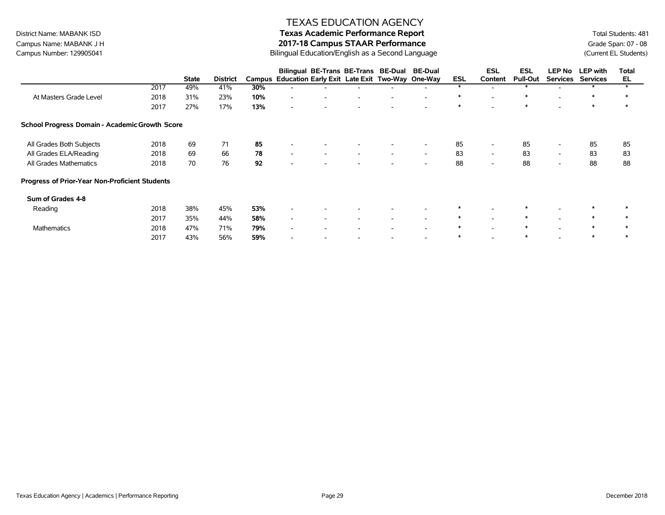# District Name: MABANK ISD **Texas Academic Performance Report Texas Academic Performance Report** Total Students: 481

Campus Name: MABANK J H<br>Campus Number: 129905041 **19905041** 2017-18 Campus STAAR Performance<br>Campus Number: 129905041 (Current EL Students) Bilingual Education/English as a Second Language

|                                                |      |              |                 |     | Bilingual BE-Trans BE-Trans BE-Dual                   |                          |                          | <b>BE-Dual</b>           |        | <b>ESL</b>               | ESL             | <b>LEP No</b>            | <b>LEP</b> with | Total  |
|------------------------------------------------|------|--------------|-----------------|-----|-------------------------------------------------------|--------------------------|--------------------------|--------------------------|--------|--------------------------|-----------------|--------------------------|-----------------|--------|
|                                                |      | <b>State</b> | <b>District</b> |     | Campus Education Early Exit Late Exit Two-Way One-Way |                          |                          |                          | ESL    | Content                  | <b>Pull-Out</b> | <b>Services</b>          | <b>Services</b> | EL     |
|                                                | 2017 | 49%          | 41%             | 30% |                                                       |                          |                          |                          |        |                          |                 |                          |                 |        |
| At Masters Grade Level                         | 2018 | 31%          | 23%             | 10% | $\overline{\phantom{a}}$                              |                          |                          | $\overline{\phantom{a}}$ | $\ast$ |                          | ∗               |                          | ∗               | ∗      |
|                                                | 2017 | 27%          | 17%             | 13% | $\overline{\phantom{a}}$                              |                          |                          |                          | $\ast$ |                          | $\ast$          |                          | $\ast$          | $\ast$ |
| School Progress Domain - Academic Growth Score |      |              |                 |     |                                                       |                          |                          |                          |        |                          |                 |                          |                 |        |
| All Grades Both Subjects                       | 2018 | 69           | 71              | 85  |                                                       |                          |                          | $\overline{\phantom{a}}$ | 85     | $\overline{\phantom{a}}$ | 85              | $\overline{\phantom{a}}$ | 85              | 85     |
| All Grades ELA/Reading                         | 2018 | 69           | 66              | 78  | $\overline{\phantom{a}}$<br>$\overline{\phantom{a}}$  | $\overline{\phantom{a}}$ | $\overline{\phantom{a}}$ | $\overline{\phantom{a}}$ | 83     | $\sim$                   | 83              | $\sim$                   | 83              | 83     |
| All Grades Mathematics                         | 2018 | 70           | 76              | 92  |                                                       |                          |                          |                          | 88     |                          | 88              |                          | 88              | 88     |
| Progress of Prior-Year Non-Proficient Students |      |              |                 |     |                                                       |                          |                          |                          |        |                          |                 |                          |                 |        |
| Sum of Grades 4-8                              |      |              |                 |     |                                                       |                          |                          |                          |        |                          |                 |                          |                 |        |
| Reading                                        | 2018 | 38%          | 45%             | 53% |                                                       |                          |                          |                          | ∗      |                          |                 |                          | $\ast$          |        |
|                                                | 2017 | 35%          | 44%             | 58% | $\overline{\phantom{a}}$<br>$\overline{\phantom{a}}$  | $\overline{\phantom{a}}$ | $\overline{\phantom{0}}$ | $\overline{\phantom{a}}$ | ∗      | $\overline{\phantom{a}}$ | $\ast$          | $\overline{\phantom{a}}$ | $\ast$          | ∗      |
| Mathematics                                    | 2018 | 47%          | 71%             | 79% | $\overline{\phantom{a}}$                              |                          |                          |                          | ∗      |                          | $\ast$          |                          | $\ast$          | $\ast$ |
|                                                | 2017 | 43%          | 56%             | 59% | $\overline{\phantom{0}}$                              |                          |                          | $\overline{\phantom{a}}$ | $\ast$ |                          | $\ast$          |                          |                 |        |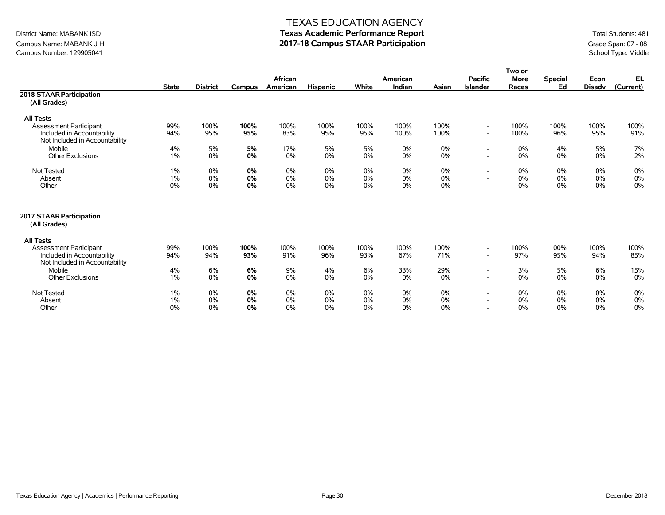## Campus Name: MABANK J H **2017-18 Campus STAAR Participation**<br>Campus Number: 129905041 School Type: Middle Campus Number: 129905041

#### TEXAS EDUCATION AGENCY

# District Name: MABANK ISD **Texas Academic Performance Report** Total Students: 481

|                                            |              |                 |               |          |                 |       |          |       |                          | Two or      |                |               |           |
|--------------------------------------------|--------------|-----------------|---------------|----------|-----------------|-------|----------|-------|--------------------------|-------------|----------------|---------------|-----------|
|                                            |              |                 |               | African  |                 |       | American |       | <b>Pacific</b>           | <b>More</b> | <b>Special</b> | Econ          | EL        |
|                                            | <b>State</b> | <b>District</b> | <b>Campus</b> | American | <b>Hispanic</b> | White | Indian   | Asian | <b>Islander</b>          | Races       | Ed             | <b>Disadv</b> | (Current) |
| 2018 STAAR Participation                   |              |                 |               |          |                 |       |          |       |                          |             |                |               |           |
| (All Grades)                               |              |                 |               |          |                 |       |          |       |                          |             |                |               |           |
| <b>All Tests</b>                           |              |                 |               |          |                 |       |          |       |                          |             |                |               |           |
| <b>Assessment Participant</b>              | 99%          | 100%            | 100%          | 100%     | 100%            | 100%  | 100%     | 100%  | $\overline{\phantom{a}}$ | 100%        | 100%           | 100%          | 100%      |
| Included in Accountability                 | 94%          | 95%             | 95%           | 83%      | 95%             | 95%   | 100%     | 100%  | $\overline{\phantom{a}}$ | 100%        | 96%            | 95%           | 91%       |
| Not Included in Accountability             |              |                 |               |          |                 |       |          |       |                          |             |                |               |           |
| Mobile                                     | 4%           | 5%              | 5%            | 17%      | 5%              | 5%    | 0%       | 0%    | $\overline{\phantom{a}}$ | $0\%$       | 4%             | 5%            | $7\%$     |
| <b>Other Exclusions</b>                    | 1%           | 0%              | 0%            | 0%       | 0%              | $0\%$ | 0%       | 0%    | $\overline{\phantom{a}}$ | $0\%$       | 0%             | 0%            | 2%        |
| Not Tested                                 | 1%           | 0%              | 0%            | 0%       | 0%              | $0\%$ | 0%       | 0%    | $\overline{\phantom{a}}$ | $0\%$       | 0%             | 0%            | 0%        |
| Absent                                     | 1%           | 0%              | 0%            | 0%       | 0%              | $0\%$ | 0%       | 0%    | $\overline{\phantom{a}}$ | 0%          | 0%             | 0%            | $0\%$     |
| Other                                      | 0%           | 0%              | 0%            | 0%       | 0%              | $0\%$ | 0%       | 0%    | $\overline{\phantom{a}}$ | 0%          | 0%             | 0%            | 0%        |
| 2017 STAAR Participation<br>(All Grades)   |              |                 |               |          |                 |       |          |       |                          |             |                |               |           |
|                                            |              |                 |               |          |                 |       |          |       |                          |             |                |               |           |
| <b>All Tests</b><br>Assessment Participant | 99%          | 100%            | 100%          | 100%     | 100%            | 100%  | 100%     | 100%  | $\overline{\phantom{a}}$ | 100%        | 100%           | 100%          | 100%      |
| Included in Accountability                 | 94%          | 94%             | 93%           | 91%      | 96%             | 93%   | 67%      | 71%   | $\overline{\phantom{a}}$ | 97%         | 95%            | 94%           | 85%       |
| Not Included in Accountability             |              |                 |               |          |                 |       |          |       |                          |             |                |               |           |
| Mobile                                     | 4%           | 6%              | 6%            | 9%       | 4%              | 6%    | 33%      | 29%   | $\overline{\phantom{a}}$ | 3%          | 5%             | 6%            | 15%       |
| <b>Other Exclusions</b>                    | $1\%$        | 0%              | 0%            | 0%       | 0%              | 0%    | 0%       | 0%    | $\overline{\phantom{a}}$ | 0%          | 0%             | 0%            | 0%        |
|                                            |              |                 |               |          |                 |       |          |       |                          |             |                |               |           |
| <b>Not Tested</b>                          | $1\%$        | 0%              | 0%            | 0%       | 0%              | $0\%$ | 0%       | 0%    | $\overline{\phantom{a}}$ | $0\%$       | 0%             | 0%            | 0%        |
| Absent                                     | 1%           | 0%              | 0%            | 0%       | 0%              | 0%    | 0%       | 0%    | $\overline{\phantom{a}}$ | 0%          | 0%             | 0%            | 0%        |
| Other                                      | 0%           | 0%              | 0%            | 0%       | 0%              | $0\%$ | 0%       | 0%    | $\overline{\phantom{a}}$ | 0%          | 0%             | 0%            | 0%        |
|                                            |              |                 |               |          |                 |       |          |       |                          |             |                |               |           |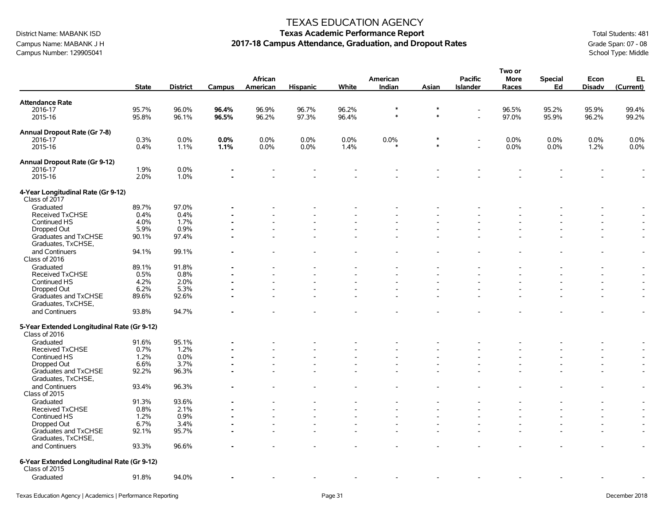## Campus Name: MABANK J H **2017-18 Campus Attendance, Graduation, and Dropout Rates** Grade Span: 07 - 08 Grade Span: 07 - 08 Campus Attendance, Graduation, and Dropout Rates School Type: Middle Campus Number: 129905041

#### TEXAS EDUCATION AGENCY

# District Name: MABANK ISD **Texas Academic Performance Report Texas Academic Performance Report** Total Students: 481

**Two or**

|                                                              |              |                 |        | African  |                 |       | American         |                  | <b>Pacific</b>           | וט שעו<br><b>More</b> | Special | Econ          | EL                       |
|--------------------------------------------------------------|--------------|-----------------|--------|----------|-----------------|-------|------------------|------------------|--------------------------|-----------------------|---------|---------------|--------------------------|
|                                                              | <b>State</b> | <b>District</b> | Campus | American | <b>Hispanic</b> | White | Indian           | Asian            | <b>Islander</b>          | Races                 | Ed      | <b>Disadv</b> | (Current)                |
| <b>Attendance Rate</b>                                       |              |                 |        |          |                 |       |                  |                  |                          |                       |         |               |                          |
| 2016-17                                                      | 95.7%        | 96.0%           | 96.4%  | 96.9%    | 96.7%           | 96.2% | $\ast$<br>$\ast$ | $\ast$<br>$\ast$ | $\overline{\phantom{a}}$ | 96.5%                 | 95.2%   | 95.9%         | 99.4%                    |
| 2015-16                                                      | 95.8%        | 96.1%           | 96.5%  | 96.2%    | 97.3%           | 96.4% |                  |                  |                          | 97.0%                 | 95.9%   | 96.2%         | 99.2%                    |
| Annual Dropout Rate (Gr 7-8)                                 |              |                 |        |          |                 |       |                  |                  |                          |                       |         |               |                          |
| 2016-17                                                      | 0.3%         | 0.0%            | 0.0%   | 0.0%     | 0.0%            | 0.0%  | 0.0%             | $\ast$           | $\overline{\phantom{a}}$ | 0.0%                  | 0.0%    | 0.0%          | 0.0%                     |
| 2015-16                                                      | 0.4%         | 1.1%            | 1.1%   | 0.0%     | $0.0\%$         | 1.4%  |                  | $\ast$           |                          | 0.0%                  | 0.0%    | 1.2%          | 0.0%                     |
| Annual Dropout Rate (Gr 9-12)                                |              |                 |        |          |                 |       |                  |                  |                          |                       |         |               |                          |
| 2016-17                                                      | 1.9%         | 0.0%            |        |          |                 |       |                  |                  |                          |                       |         |               |                          |
| 2015-16                                                      | 2.0%         | 1.0%            |        |          |                 |       |                  |                  |                          |                       |         |               |                          |
| 4-Year Longitudinal Rate (Gr 9-12)                           |              |                 |        |          |                 |       |                  |                  |                          |                       |         |               |                          |
| Class of 2017                                                |              |                 |        |          |                 |       |                  |                  |                          |                       |         |               |                          |
| Graduated                                                    | 89.7%        | 97.0%           |        |          |                 |       |                  |                  |                          |                       |         |               |                          |
| <b>Received TxCHSE</b>                                       | 0.4%         | 0.4%            |        |          |                 |       |                  |                  |                          |                       |         |               |                          |
| Continued HS                                                 | 4.0%         | 1.7%            |        |          |                 |       |                  |                  |                          |                       |         |               |                          |
| Dropped Out                                                  | 5.9%         | 0.9%            |        |          |                 |       |                  |                  |                          |                       |         |               |                          |
| Graduates and TxCHSE<br>Graduates, TxCHSE,                   | 90.1%        | 97.4%           |        |          |                 |       |                  |                  |                          |                       |         |               |                          |
| and Continuers<br>Class of 2016                              | 94.1%        | 99.1%           |        |          |                 |       |                  |                  |                          |                       |         |               | $\overline{\phantom{a}}$ |
| Graduated                                                    | 89.1%        | 91.8%           |        |          |                 |       |                  |                  |                          |                       |         |               |                          |
| Received TxCHSE                                              | 0.5%         | 0.8%            |        |          |                 |       |                  |                  |                          |                       |         |               |                          |
| Continued HS                                                 | 4.2%         | 2.0%            |        |          |                 |       |                  |                  |                          |                       |         |               |                          |
| Dropped Out                                                  | 6.2%         | 5.3%            |        |          |                 |       |                  |                  |                          |                       |         |               | $\blacksquare$           |
| Graduates and TxCHSE                                         | 89.6%        | 92.6%           |        |          |                 |       |                  |                  |                          |                       |         |               |                          |
| Graduates, TxCHSE,                                           |              |                 |        |          |                 |       |                  |                  |                          |                       |         |               |                          |
| and Continuers                                               | 93.8%        | 94.7%           |        |          |                 |       |                  |                  |                          |                       |         |               |                          |
|                                                              |              |                 |        |          |                 |       |                  |                  |                          |                       |         |               |                          |
| 5-Year Extended Longitudinal Rate (Gr 9-12)<br>Class of 2016 |              |                 |        |          |                 |       |                  |                  |                          |                       |         |               |                          |
| Graduated                                                    | 91.6%        | 95.1%           |        |          |                 |       |                  |                  |                          |                       |         |               |                          |
| Received TxCHSE                                              | 0.7%         | 1.2%            |        |          |                 |       |                  |                  |                          |                       |         |               |                          |
| Continued HS                                                 | 1.2%         | 0.0%            |        |          |                 |       |                  |                  |                          |                       |         |               |                          |
| Dropped Out                                                  | 6.6%         | 3.7%            |        |          |                 |       |                  |                  |                          |                       |         |               |                          |
| Graduates and TxCHSE<br>Graduates, TxCHSE,                   | 92.2%        | 96.3%           |        |          |                 |       |                  |                  |                          |                       |         |               | $\blacksquare$           |
| and Continuers                                               | 93.4%        | 96.3%           |        |          |                 |       |                  |                  |                          |                       |         |               | $\overline{\phantom{a}}$ |
| Class of 2015                                                |              |                 |        |          |                 |       |                  |                  |                          |                       |         |               |                          |
| Graduated                                                    | 91.3%        | 93.6%           |        |          |                 |       |                  |                  |                          |                       |         |               |                          |
| Received TxCHSE                                              | 0.8%         | 2.1%            |        |          |                 |       |                  |                  |                          |                       |         |               | $\overline{\phantom{a}}$ |
| Continued HS                                                 | 1.2%         | 0.9%            |        |          |                 |       |                  |                  |                          |                       |         |               |                          |
| Dropped Out                                                  | 6.7%         | 3.4%            |        |          |                 |       |                  |                  |                          |                       |         |               |                          |
| Graduates and TxCHSE<br>Graduates, TxCHSE,                   | 92.1%        | 95.7%           |        |          |                 |       |                  |                  |                          |                       |         |               | $\overline{\phantom{a}}$ |
| and Continuers                                               | 93.3%        | 96.6%           |        |          |                 |       |                  |                  |                          |                       |         |               |                          |
| 6-Year Extended Longitudinal Rate (Gr 9-12)<br>Class of 2015 |              |                 |        |          |                 |       |                  |                  |                          |                       |         |               |                          |
|                                                              | 91.8%        | 94.0%           |        |          |                 |       |                  |                  |                          |                       |         |               |                          |
| Graduated                                                    |              |                 |        |          |                 |       |                  |                  |                          |                       |         |               |                          |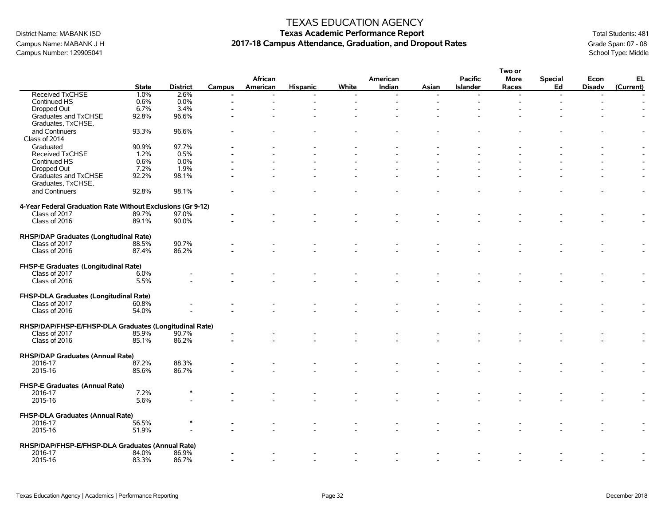Campus Number: 129905041

### TEXAS EDUCATION AGENCY

# District Name: MABANK ISD **Texas Academic Performance Report Texas Academic Performance Report** Total Students: 481 Campus Name: MABANK J H **2017-18 Campus Attendance, Graduation, and Dropout Rates** Grade Span: 07 - 08 Grade Span: 07 - 08 Campus Attendance, Graduation, and Dropout Rates School Type: Middle

|                                                             |              |                 |                | African  |                 |       | American |       | <b>Pacific</b>           | Two or<br><b>More</b>    | <b>Special</b> | Econ                     | EL             |
|-------------------------------------------------------------|--------------|-----------------|----------------|----------|-----------------|-------|----------|-------|--------------------------|--------------------------|----------------|--------------------------|----------------|
|                                                             | <b>State</b> | <b>District</b> | Campus         | American | <b>Hispanic</b> | White | Indian   | Asian | <b>Islander</b>          | Races                    | Ed             | <b>Disadv</b>            | (Current)      |
| Received TxCHSE                                             | 1.0%         | 2.6%            | $\blacksquare$ |          |                 |       |          |       | $\overline{\phantom{a}}$ | $\overline{\phantom{a}}$ | $\blacksquare$ | $\overline{\phantom{a}}$ |                |
| Continued HS                                                | 0.6%         | $0.0\%$         |                |          |                 |       |          |       |                          |                          |                |                          |                |
| Dropped Out                                                 | 6.7%         | 3.4%            |                |          |                 |       |          |       |                          |                          |                |                          |                |
| Graduates and TxCHSE                                        | 92.8%        | 96.6%           |                |          |                 |       |          |       |                          |                          |                |                          |                |
| Graduates, TxCHSE,                                          |              |                 |                |          |                 |       |          |       |                          |                          |                |                          |                |
| and Continuers                                              | 93.3%        | 96.6%           |                |          |                 |       |          |       |                          |                          |                |                          |                |
| Class of 2014                                               |              |                 |                |          |                 |       |          |       |                          |                          |                |                          |                |
|                                                             |              |                 |                |          |                 |       |          |       |                          |                          |                |                          |                |
| Graduated                                                   | 90.9%        | 97.7%           |                |          |                 |       |          |       |                          |                          |                |                          |                |
| Received TxCHSE                                             | 1.2%         | 0.5%            |                |          |                 |       |          |       |                          |                          |                |                          |                |
| Continued HS                                                | 0.6%         | 0.0%            |                |          |                 |       |          |       |                          |                          |                |                          |                |
| Dropped Out                                                 | 7.2%         | 1.9%            |                |          |                 |       |          |       |                          |                          |                |                          |                |
| Graduates and TxCHSE                                        | 92.2%        | 98.1%           |                |          |                 |       |          |       |                          |                          |                |                          |                |
| Graduates, TxCHSE,                                          |              |                 |                |          |                 |       |          |       |                          |                          |                |                          |                |
| and Continuers                                              | 92.8%        | 98.1%           |                |          |                 |       |          |       |                          |                          |                |                          |                |
|                                                             |              |                 |                |          |                 |       |          |       |                          |                          |                |                          |                |
| 4-Year Federal Graduation Rate Without Exclusions (Gr 9-12) |              |                 |                |          |                 |       |          |       |                          |                          |                |                          |                |
| Class of 2017                                               | 89.7%        | 97.0%           |                |          |                 |       |          |       |                          |                          |                |                          |                |
| Class of 2016                                               | 89.1%        | 90.0%           |                |          |                 |       |          |       |                          |                          |                |                          |                |
|                                                             |              |                 |                |          |                 |       |          |       |                          |                          |                |                          |                |
|                                                             |              |                 |                |          |                 |       |          |       |                          |                          |                |                          |                |
| RHSP/DAP Graduates (Longitudinal Rate)                      |              |                 |                |          |                 |       |          |       |                          |                          |                |                          |                |
| Class of 2017                                               | 88.5%        | 90.7%           |                |          |                 |       |          |       |                          |                          |                |                          |                |
| Class of 2016                                               | 87.4%        | 86.2%           |                |          |                 |       |          |       |                          |                          |                |                          |                |
|                                                             |              |                 |                |          |                 |       |          |       |                          |                          |                |                          |                |
| FHSP-E Graduates (Longitudinal Rate)                        |              |                 |                |          |                 |       |          |       |                          |                          |                |                          |                |
| Class of 2017                                               | 6.0%         |                 |                |          |                 |       |          |       |                          |                          |                |                          |                |
| Class of 2016                                               | 5.5%         |                 |                |          |                 |       |          |       |                          |                          |                |                          | $\overline{a}$ |
|                                                             |              |                 |                |          |                 |       |          |       |                          |                          |                |                          |                |
| FHSP-DLA Graduates (Longitudinal Rate)                      |              |                 |                |          |                 |       |          |       |                          |                          |                |                          |                |
| Class of 2017                                               | 60.8%        |                 |                |          |                 |       |          |       |                          |                          |                |                          |                |
| Class of 2016                                               | 54.0%        |                 |                |          |                 |       |          |       |                          |                          |                |                          |                |
|                                                             |              |                 |                |          |                 |       |          |       |                          |                          |                |                          |                |
| RHSP/DAP/FHSP-E/FHSP-DLA Graduates (Longitudinal Rate)      |              |                 |                |          |                 |       |          |       |                          |                          |                |                          |                |
| Class of 2017                                               | 85.9%        | 90.7%           |                |          |                 |       |          |       |                          |                          |                |                          |                |
| Class of 2016                                               | 85.1%        | 86.2%           |                |          |                 |       |          |       |                          |                          |                |                          |                |
|                                                             |              |                 |                |          |                 |       |          |       |                          |                          |                |                          |                |
| <b>RHSP/DAP Graduates (Annual Rate)</b>                     |              |                 |                |          |                 |       |          |       |                          |                          |                |                          |                |
| 2016-17                                                     | 87.2%        | 88.3%           |                |          |                 |       |          |       |                          |                          |                |                          |                |
| 2015-16                                                     |              |                 |                |          |                 |       |          |       |                          |                          |                |                          |                |
|                                                             | 85.6%        | 86.7%           |                |          |                 |       |          |       |                          |                          |                |                          |                |
|                                                             |              |                 |                |          |                 |       |          |       |                          |                          |                |                          |                |
| <b>FHSP-E Graduates (Annual Rate)</b>                       |              | $\ast$          |                |          |                 |       |          |       |                          |                          |                |                          |                |
| 2016-17                                                     | 7.2%         |                 |                |          |                 |       |          |       |                          |                          |                |                          |                |
| 2015-16                                                     | 5.6%         |                 |                |          |                 |       |          |       |                          |                          |                |                          |                |
|                                                             |              |                 |                |          |                 |       |          |       |                          |                          |                |                          |                |
| FHSP-DLA Graduates (Annual Rate)                            |              |                 |                |          |                 |       |          |       |                          |                          |                |                          |                |
| 2016-17                                                     | 56.5%        |                 |                |          |                 |       |          |       |                          |                          |                |                          |                |
| 2015-16                                                     | 51.9%        |                 |                |          |                 |       |          |       |                          |                          |                |                          |                |
|                                                             |              |                 |                |          |                 |       |          |       |                          |                          |                |                          |                |
| RHSP/DAP/FHSP-E/FHSP-DLA Graduates (Annual Rate)            |              |                 |                |          |                 |       |          |       |                          |                          |                |                          |                |
| 2016-17                                                     | 84.0%        | 86.9%           |                |          |                 |       |          |       |                          |                          |                |                          |                |
| 2015-16                                                     | 83.3%        | 86.7%           |                |          |                 |       |          |       |                          |                          |                |                          |                |
|                                                             |              |                 |                |          |                 |       |          |       |                          |                          |                |                          |                |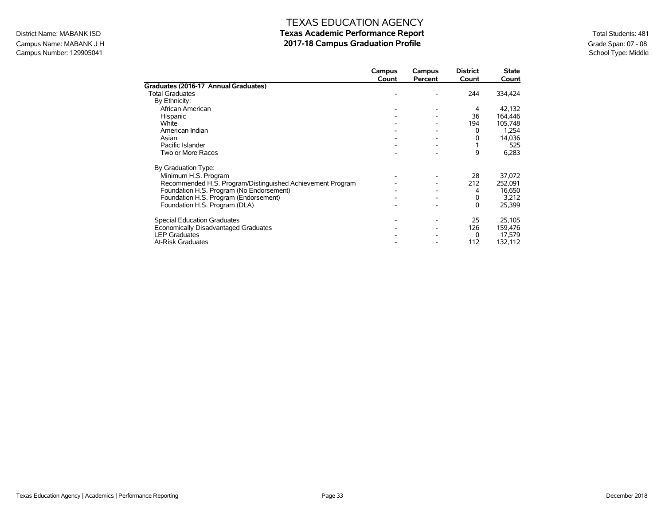## Campus Name: MABANK J H<br> **2017-18 Campus Graduation Profile** Graduation Profile Graduation Profile Graduation Profile School Type: Middle Campus Number: 129905041

# TEXAS EDUCATION AGENCY District Name: MABANK ISD **Texas Academic Performance Report Texas Academic Performance Report** Total Students: 481

|                                                            | Campus | Campus  | <b>District</b><br>Count | <b>State</b> |
|------------------------------------------------------------|--------|---------|--------------------------|--------------|
| Graduates (2016-17 Annual Graduates)                       | Count  | Percent |                          | Count        |
| <b>Total Graduates</b>                                     |        |         | 244                      | 334,424      |
| By Ethnicity:                                              |        |         |                          |              |
| African American                                           |        |         | 4                        | 42,132       |
| Hispanic                                                   |        |         | 36                       | 164,446      |
| White                                                      |        |         | 194                      | 105,748      |
| American Indian                                            |        |         | 0                        | 1,254        |
| Asian                                                      |        |         | 0                        | 14,036       |
| Pacific Islander                                           |        |         |                          | 525          |
| Two or More Races                                          |        |         | 9                        | 6,283        |
| By Graduation Type:                                        |        |         |                          |              |
| Minimum H.S. Program                                       |        |         | 28                       | 37,072       |
| Recommended H.S. Program/Distinguished Achievement Program |        |         | 212                      | 252,091      |
| Foundation H.S. Program (No Endorsement)                   |        |         | 4                        | 16,650       |
| Foundation H.S. Program (Endorsement)                      |        |         | 0                        | 3,212        |
| Foundation H.S. Program (DLA)                              |        |         | 0                        | 25,399       |
| <b>Special Education Graduates</b>                         |        |         | 25                       | 25,105       |
| Economically Disadvantaged Graduates                       |        |         | 126                      | 159,476      |
| <b>LEP Graduates</b>                                       |        |         | $\Omega$                 | 17,579       |
| <b>At-Risk Graduates</b>                                   |        |         | 112                      | 132,112      |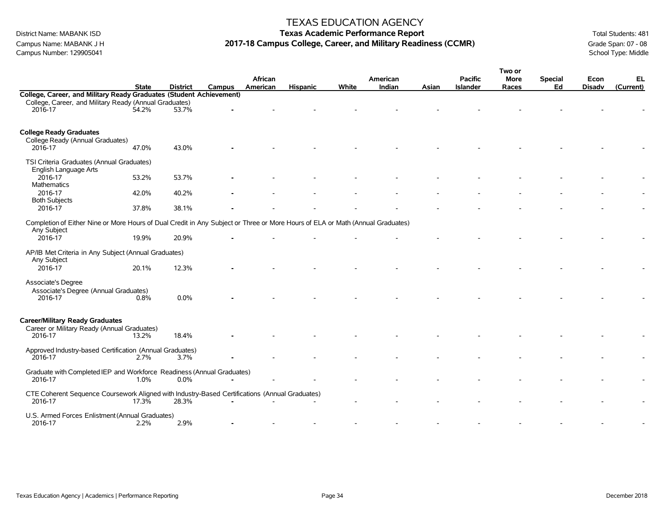Campus Number: 129905041

### TEXAS EDUCATION AGENCY

# District Name: MABANK ISD **Texas Academic Performance Report Texas Academic Performance Report** Total Students: 481 Campus Name: MABANK J H **2017-18 Campus College, Career, and Military Readiness (CCMR)** Grade Span: 07 - 08<br>Campus Number: 129905041 School Type: Middle

|                                                                                                                                |              |                 |        |          |                 |       |          |       |                 | Two or      |                |               |           |
|--------------------------------------------------------------------------------------------------------------------------------|--------------|-----------------|--------|----------|-----------------|-------|----------|-------|-----------------|-------------|----------------|---------------|-----------|
|                                                                                                                                |              |                 |        | African  |                 |       | American |       | <b>Pacific</b>  | <b>More</b> | <b>Special</b> | Econ          | EL        |
|                                                                                                                                | <b>State</b> | <b>District</b> | Campus | American | <b>Hispanic</b> | White | Indian   | Asian | <b>Islander</b> | Races       | Ed             | <b>Disadv</b> | (Current) |
| College, Career, and Military Ready Graduates (Student Achievement)                                                            |              |                 |        |          |                 |       |          |       |                 |             |                |               |           |
| College, Career, and Military Ready (Annual Graduates)                                                                         |              |                 |        |          |                 |       |          |       |                 |             |                |               |           |
| 2016-17                                                                                                                        | 54.2%        | 53.7%           |        |          |                 |       |          |       |                 |             |                |               |           |
|                                                                                                                                |              |                 |        |          |                 |       |          |       |                 |             |                |               |           |
|                                                                                                                                |              |                 |        |          |                 |       |          |       |                 |             |                |               |           |
| <b>College Ready Graduates</b>                                                                                                 |              |                 |        |          |                 |       |          |       |                 |             |                |               |           |
| College Ready (Annual Graduates)                                                                                               |              |                 |        |          |                 |       |          |       |                 |             |                |               |           |
| 2016-17                                                                                                                        | 47.0%        | 43.0%           |        |          |                 |       |          |       |                 |             |                |               |           |
|                                                                                                                                |              |                 |        |          |                 |       |          |       |                 |             |                |               |           |
| TSI Criteria Graduates (Annual Graduates)                                                                                      |              |                 |        |          |                 |       |          |       |                 |             |                |               |           |
| English Language Arts                                                                                                          |              |                 |        |          |                 |       |          |       |                 |             |                |               |           |
| 2016-17                                                                                                                        | 53.2%        | 53.7%           |        |          |                 |       |          |       |                 |             |                |               |           |
| Mathematics                                                                                                                    |              |                 |        |          |                 |       |          |       |                 |             |                |               |           |
| 2016-17                                                                                                                        | 42.0%        | 40.2%           |        |          |                 |       |          |       |                 |             |                |               |           |
| <b>Both Subjects</b>                                                                                                           |              |                 |        |          |                 |       |          |       |                 |             |                |               |           |
| 2016-17                                                                                                                        | 37.8%        | 38.1%           |        |          |                 |       |          |       |                 |             |                |               |           |
|                                                                                                                                |              |                 |        |          |                 |       |          |       |                 |             |                |               |           |
| Completion of Either Nine or More Hours of Dual Credit in Any Subject or Three or More Hours of ELA or Math (Annual Graduates) |              |                 |        |          |                 |       |          |       |                 |             |                |               |           |
| Any Subject                                                                                                                    |              |                 |        |          |                 |       |          |       |                 |             |                |               |           |
| 2016-17                                                                                                                        | 19.9%        | 20.9%           |        |          |                 |       |          |       |                 |             |                |               |           |
|                                                                                                                                |              |                 |        |          |                 |       |          |       |                 |             |                |               |           |
| AP/IB Met Criteria in Any Subject (Annual Graduates)                                                                           |              |                 |        |          |                 |       |          |       |                 |             |                |               |           |
| Any Subject                                                                                                                    |              |                 |        |          |                 |       |          |       |                 |             |                |               |           |
| 2016-17                                                                                                                        | 20.1%        | 12.3%           |        |          |                 |       |          |       |                 |             |                |               |           |
|                                                                                                                                |              |                 |        |          |                 |       |          |       |                 |             |                |               |           |
| Associate's Degree                                                                                                             |              |                 |        |          |                 |       |          |       |                 |             |                |               |           |
| Associate's Degree (Annual Graduates)<br>2016-17                                                                               | 0.8%         | 0.0%            |        |          |                 |       |          |       |                 |             |                |               |           |
|                                                                                                                                |              |                 |        |          |                 |       |          |       |                 |             |                |               |           |
|                                                                                                                                |              |                 |        |          |                 |       |          |       |                 |             |                |               |           |
| <b>Career/Military Ready Graduates</b>                                                                                         |              |                 |        |          |                 |       |          |       |                 |             |                |               |           |
|                                                                                                                                |              |                 |        |          |                 |       |          |       |                 |             |                |               |           |
| Career or Military Ready (Annual Graduates)<br>2016-17                                                                         | 13.2%        | 18.4%           |        |          |                 |       |          |       |                 |             |                |               |           |
|                                                                                                                                |              |                 |        |          |                 |       |          |       |                 |             |                |               |           |
| Approved Industry-based Certification (Annual Graduates)                                                                       |              |                 |        |          |                 |       |          |       |                 |             |                |               |           |
| 2016-17                                                                                                                        | 2.7%         | 3.7%            |        |          |                 |       |          |       |                 |             |                |               |           |
|                                                                                                                                |              |                 |        |          |                 |       |          |       |                 |             |                |               |           |
| Graduate with Completed IEP and Workforce Readiness (Annual Graduates)                                                         |              |                 |        |          |                 |       |          |       |                 |             |                |               |           |
| 2016-17                                                                                                                        | 1.0%         | 0.0%            |        |          |                 |       |          |       |                 |             |                |               |           |
|                                                                                                                                |              |                 |        |          |                 |       |          |       |                 |             |                |               |           |
| CTE Coherent Sequence Coursework Aligned with Industry-Based Certifications (Annual Graduates)                                 |              |                 |        |          |                 |       |          |       |                 |             |                |               |           |
| 2016-17                                                                                                                        | 17.3%        | 28.3%           |        |          |                 |       |          |       |                 |             |                |               |           |
|                                                                                                                                |              |                 |        |          |                 |       |          |       |                 |             |                |               |           |
| U.S. Armed Forces Enlistment (Annual Graduates)                                                                                |              |                 |        |          |                 |       |          |       |                 |             |                |               |           |
| 2016-17                                                                                                                        | 2.2%         | 2.9%            |        |          |                 |       |          |       |                 |             |                |               |           |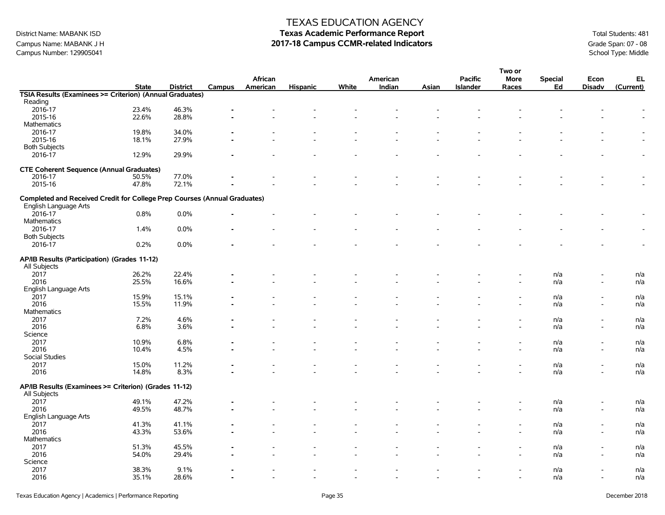Campus Name: MABANK J H **2017-18 Campus CCMR-related Indicators** Grade Span: 07 - 08<br>Campus Number: 129905041<br>School Type: Middle Campus Number: 129905041

## TEXAS EDUCATION AGENCY

# District Name: MABANK ISD **Texas Academic Performance Report Texas Academic Performance Report** Total Students: 481

|                                                                           |                |                 |        |          |                          |                          |                          |       |                 | Two or         |                |                          |           |
|---------------------------------------------------------------------------|----------------|-----------------|--------|----------|--------------------------|--------------------------|--------------------------|-------|-----------------|----------------|----------------|--------------------------|-----------|
|                                                                           |                |                 |        | African  |                          |                          | American                 |       | <b>Pacific</b>  | <b>More</b>    | <b>Special</b> | Econ                     | EL        |
|                                                                           | <b>State</b>   | <b>District</b> | Campus | American | <b>Hispanic</b>          | White                    | Indian                   | Asian | <b>Islander</b> | Races          | Ed             | <b>Disadv</b>            | (Current) |
| TSIA Results (Examinees >= Criterion) (Annual Graduates)                  |                |                 |        |          |                          |                          |                          |       |                 |                |                |                          |           |
| Reading                                                                   |                |                 |        |          |                          |                          |                          |       |                 |                |                |                          |           |
| 2016-17                                                                   | 23.4%          | 46.3%           |        |          |                          |                          |                          |       |                 |                |                |                          |           |
| 2015-16                                                                   | 22.6%          | 28.8%           |        |          |                          |                          |                          |       |                 |                |                |                          |           |
| Mathematics                                                               |                |                 |        |          |                          |                          |                          |       |                 |                |                |                          |           |
| 2016-17                                                                   | 19.8%          | 34.0%           |        |          |                          |                          |                          |       |                 |                |                |                          |           |
| 2015-16                                                                   | 18.1%          | 27.9%           |        |          |                          |                          |                          |       |                 |                |                |                          |           |
| <b>Both Subjects</b>                                                      |                |                 |        |          |                          |                          |                          |       |                 |                |                |                          |           |
| 2016-17                                                                   | 12.9%          | 29.9%           |        |          |                          |                          |                          |       |                 |                |                |                          |           |
|                                                                           |                |                 |        |          |                          |                          |                          |       |                 |                |                |                          |           |
| <b>CTE Coherent Sequence (Annual Graduates)</b>                           |                |                 |        |          |                          |                          |                          |       |                 |                |                |                          |           |
| 2016-17                                                                   | 50.5%          | 77.0%           |        |          |                          |                          |                          |       |                 |                |                |                          |           |
| 2015-16                                                                   | 47.8%          | 72.1%           |        |          |                          |                          |                          |       |                 |                |                |                          |           |
|                                                                           |                |                 |        |          |                          |                          |                          |       |                 |                |                |                          |           |
| Completed and Received Credit for College Prep Courses (Annual Graduates) |                |                 |        |          |                          |                          |                          |       |                 |                |                |                          |           |
| English Language Arts                                                     |                |                 |        |          |                          |                          |                          |       |                 |                |                |                          |           |
|                                                                           | 0.8%           | 0.0%            |        |          |                          |                          |                          |       |                 |                |                |                          |           |
| 2016-17                                                                   |                |                 |        |          |                          |                          |                          |       |                 |                |                |                          |           |
| Mathematics                                                               |                |                 |        |          |                          |                          |                          |       |                 |                |                |                          |           |
| 2016-17                                                                   | 1.4%           | 0.0%            |        |          |                          |                          |                          |       |                 |                |                |                          |           |
| <b>Both Subjects</b>                                                      |                |                 |        |          |                          |                          |                          |       |                 |                |                |                          |           |
| 2016-17                                                                   | 0.2%           | 0.0%            |        |          |                          |                          |                          |       |                 |                |                |                          |           |
|                                                                           |                |                 |        |          |                          |                          |                          |       |                 |                |                |                          |           |
| AP/IB Results (Participation) (Grades 11-12)                              |                |                 |        |          |                          |                          |                          |       |                 |                |                |                          |           |
| All Subjects                                                              |                |                 |        |          |                          |                          |                          |       |                 |                |                |                          |           |
| 2017                                                                      | 26.2%          | 22.4%           |        |          |                          |                          |                          |       |                 |                | n/a            |                          | n/a       |
| 2016                                                                      | 25.5%          | 16.6%           |        |          |                          |                          |                          |       |                 |                | n/a            |                          | n/a       |
| English Language Arts                                                     |                |                 |        |          |                          |                          |                          |       |                 |                |                |                          |           |
| 2017                                                                      | 15.9%          | 15.1%           |        |          |                          |                          |                          |       |                 |                | n/a            |                          | n/a       |
| 2016                                                                      | 15.5%          | 11.9%           |        |          |                          |                          |                          |       |                 |                | n/a            | $\overline{\phantom{a}}$ | n/a       |
| Mathematics                                                               |                |                 |        |          |                          |                          |                          |       |                 |                |                |                          |           |
| 2017                                                                      | 7.2%           | 4.6%            |        |          |                          |                          |                          |       |                 |                | n/a            |                          | n/a       |
| 2016                                                                      | 6.8%           | 3.6%            |        |          |                          |                          |                          |       |                 |                | n/a            | $\blacksquare$           | n/a       |
| Science                                                                   |                |                 |        |          |                          |                          |                          |       |                 |                |                |                          |           |
| 2017                                                                      | 10.9%          | 6.8%            |        |          |                          |                          |                          |       |                 |                | n/a            |                          | n/a       |
| 2016                                                                      | 10.4%          | 4.5%            |        |          |                          |                          |                          |       |                 |                | n/a            | $\blacksquare$           | n/a       |
| Social Studies                                                            |                |                 |        |          |                          |                          |                          |       |                 |                |                |                          |           |
|                                                                           |                |                 |        |          |                          |                          |                          |       |                 |                |                |                          |           |
| 2017                                                                      | 15.0%<br>14.8% | 11.2%           |        |          |                          |                          |                          |       |                 |                | n/a            |                          | n/a       |
| 2016                                                                      |                | 8.3%            |        |          |                          |                          |                          |       |                 |                | n/a            |                          | n/a       |
| AP/IB Results (Examinees >= Criterion) (Grades 11-12)                     |                |                 |        |          |                          |                          |                          |       |                 |                |                |                          |           |
|                                                                           |                |                 |        |          |                          |                          |                          |       |                 |                |                |                          |           |
| All Subjects                                                              |                |                 |        |          |                          |                          |                          |       |                 |                |                |                          |           |
| 2017                                                                      | 49.1%          | 47.2%           |        |          |                          |                          |                          |       |                 |                | n/a            |                          | n/a       |
| 2016                                                                      | 49.5%          | 48.7%           |        |          |                          |                          |                          |       |                 |                | n/a            |                          | n/a       |
| English Language Arts                                                     |                |                 |        |          |                          |                          |                          |       |                 |                |                |                          |           |
| 2017                                                                      | 41.3%          | 41.1%           |        |          |                          |                          |                          |       |                 |                | n/a            |                          | n/a       |
| 2016                                                                      | 43.3%          | 53.6%           |        |          |                          |                          |                          |       |                 |                | n/a            | $\overline{\phantom{a}}$ | n/a       |
| Mathematics                                                               |                |                 |        |          |                          |                          |                          |       |                 |                |                |                          |           |
| 2017                                                                      | 51.3%          | 45.5%           |        |          |                          |                          |                          |       |                 |                | n/a            |                          | n/a       |
| 2016                                                                      | 54.0%          | 29.4%           |        |          |                          |                          |                          |       |                 |                | n/a            |                          | n/a       |
| Science                                                                   |                |                 |        |          |                          |                          |                          |       |                 |                |                |                          |           |
| 2017                                                                      | 38.3%          | 9.1%            |        |          |                          |                          |                          |       |                 |                | n/a            |                          | n/a       |
| 2016                                                                      | 35.1%          | 28.6%           |        |          | $\overline{\phantom{a}}$ | $\overline{\phantom{a}}$ | $\overline{\phantom{a}}$ |       |                 | $\blacksquare$ | n/a            | $\overline{\phantom{a}}$ | n/a       |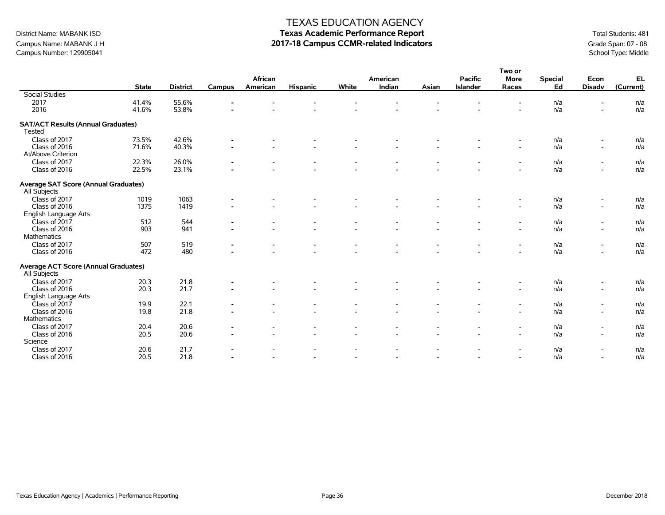## Campus Name: MABANK J H **2017-18 Campus CCMR-related Indicators** Grade Span: 07 - 08<br>Campus Number: 129905041<br>School Type: Middle Campus Number: 129905041

## TEXAS EDUCATION AGENCY

# District Name: MABANK ISD **Texas Academic Performance Report Texas Academic Performance Report** Total Students: 481

**Two or**

|                                                      |              |                 |                |                     |                          |       |                          |       |                                   | <b>I WU UI</b>           |                      |                          |                 |
|------------------------------------------------------|--------------|-----------------|----------------|---------------------|--------------------------|-------|--------------------------|-------|-----------------------------------|--------------------------|----------------------|--------------------------|-----------------|
|                                                      | <b>State</b> | <b>District</b> | Campus         | African<br>American | <b>Hispanic</b>          | White | American<br>Indian       | Asian | <b>Pacific</b><br><b>Islander</b> | <b>More</b><br>Races     | <b>Special</b><br>Ed | Econ<br><b>Disadv</b>    | EL<br>(Current) |
| <b>Social Studies</b>                                |              |                 |                |                     |                          |       |                          |       |                                   |                          |                      |                          |                 |
| 2017                                                 | 41.4%        | 55.6%           |                |                     |                          |       |                          |       |                                   |                          | n/a                  |                          | n/a             |
| 2016                                                 | 41.6%        | 53.8%           |                |                     |                          |       |                          |       |                                   |                          | n/a                  |                          | n/a             |
| <b>SAT/ACT Results (Annual Graduates)</b>            |              |                 |                |                     |                          |       |                          |       |                                   |                          |                      |                          |                 |
| Tested                                               |              |                 |                |                     |                          |       |                          |       |                                   |                          |                      |                          |                 |
| Class of 2017                                        | 73.5%        | 42.6%           |                |                     |                          |       |                          |       |                                   |                          | n/a                  |                          | n/a             |
| Class of 2016                                        | 71.6%        | 40.3%           | $\overline{a}$ |                     |                          |       |                          |       |                                   | $\sim$                   | n/a                  | $\blacksquare$           | n/a             |
| At/Above Criterion                                   |              |                 |                |                     |                          |       |                          |       |                                   |                          |                      |                          |                 |
| Class of 2017                                        | 22.3%        | 26.0%           |                |                     |                          |       | $\overline{\phantom{a}}$ |       |                                   | $\overline{\phantom{a}}$ | n/a                  | $\overline{\phantom{a}}$ | n/a             |
| Class of 2016                                        | 22.5%        | 23.1%           |                |                     |                          |       |                          |       |                                   |                          | n/a                  | $\blacksquare$           | n/a             |
| Average SAT Score (Annual Graduates)<br>All Subjects |              |                 |                |                     |                          |       |                          |       |                                   |                          |                      |                          |                 |
| Class of 2017                                        | 1019         | 1063            |                |                     |                          |       |                          |       |                                   |                          | n/a                  |                          | n/a             |
| Class of 2016                                        | 1375         | 1419            |                |                     |                          |       |                          |       |                                   |                          | n/a                  | $\blacksquare$           | n/a             |
| English Language Arts                                |              |                 |                |                     |                          |       |                          |       |                                   |                          |                      |                          |                 |
| Class of 2017                                        | 512          | 544             |                |                     |                          |       |                          |       |                                   |                          | n/a                  | $\blacksquare$           | n/a             |
| Class of 2016                                        | 903          | 941             |                |                     |                          |       |                          |       |                                   |                          | n/a                  | $\blacksquare$           | n/a             |
| Mathematics                                          |              |                 |                |                     |                          |       |                          |       |                                   |                          |                      |                          |                 |
| Class of 2017                                        | 507          | 519             |                |                     |                          |       |                          |       |                                   |                          | n/a                  | $\overline{\phantom{a}}$ | n/a             |
| Class of 2016                                        | 472          | 480             |                |                     |                          |       |                          |       |                                   | $\overline{a}$           | n/a                  | $\blacksquare$           | n/a             |
| Average ACT Score (Annual Graduates)                 |              |                 |                |                     |                          |       |                          |       |                                   |                          |                      |                          |                 |
| All Subjects                                         |              |                 |                |                     |                          |       |                          |       |                                   |                          |                      |                          |                 |
| Class of 2017                                        | 20.3         | 21.8            |                |                     |                          |       |                          |       |                                   |                          | n/a                  | $\overline{\phantom{a}}$ | n/a             |
| Class of 2016                                        | 20.3         | 21.7            |                |                     |                          |       |                          |       |                                   | $\overline{a}$           | n/a                  | $\blacksquare$           | n/a             |
| English Language Arts                                |              |                 |                |                     |                          |       |                          |       |                                   |                          |                      |                          |                 |
| Class of 2017                                        | 19.9         | 22.1            |                |                     |                          |       |                          |       |                                   |                          | n/a                  | $\overline{\phantom{a}}$ | n/a             |
| Class of 2016                                        | 19.8         | 21.8            |                |                     |                          |       |                          |       |                                   | $\overline{a}$           | n/a                  | $\overline{\phantom{a}}$ | n/a             |
| Mathematics                                          |              |                 |                |                     |                          |       |                          |       |                                   |                          |                      |                          |                 |
| Class of 2017                                        | 20.4         | 20.6            |                |                     |                          |       |                          |       |                                   |                          | n/a                  | $\blacksquare$           | n/a             |
| Class of 2016                                        | 20.5         | 20.6            |                |                     |                          |       |                          |       |                                   | $\blacksquare$           | n/a                  | $\blacksquare$           | n/a             |
| Science                                              |              |                 |                |                     |                          |       |                          |       |                                   |                          |                      |                          |                 |
| Class of 2017                                        | 20.6         | 21.7            |                |                     |                          |       |                          |       |                                   |                          | n/a                  | $\overline{\phantom{a}}$ | n/a             |
| Class of 2016                                        | 20.5         | 21.8            |                |                     | $\overline{\phantom{a}}$ |       | $\overline{\phantom{a}}$ |       |                                   | $\overline{\phantom{a}}$ | n/a                  | $\blacksquare$           | n/a             |
|                                                      |              |                 |                |                     |                          |       |                          |       |                                   |                          |                      |                          |                 |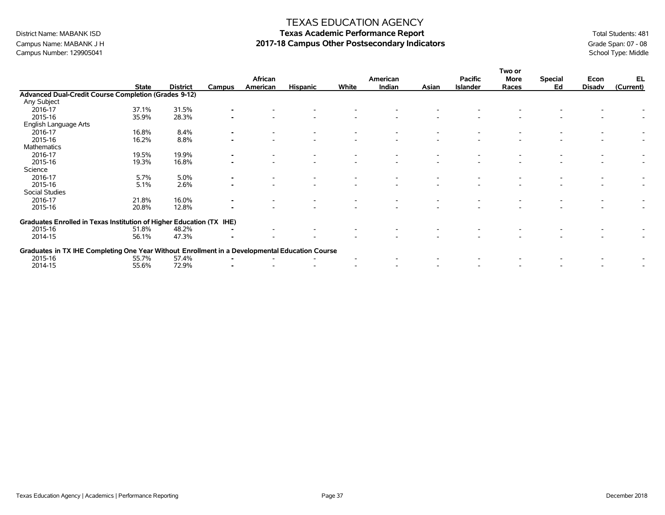# Campus Number: 129905041

## TEXAS EDUCATION AGENCY

# District Name: MABANK ISD **Texas Academic Performance Report Texas Academic Performance Report** Total Students: 481 Campus Name: MABANK J H **2017-18 Campus Other Postsecondary Indicators** Grade Span: 07 - 08 Grade Span: 07 - 08<br>Campus Number: 129905041 School Type: Middle

|                                                                                                |              |                 |                | African  |                 |       | American |       | <b>Pacific</b>  | Two or<br>More | <b>Special</b> | Econ   | EL        |
|------------------------------------------------------------------------------------------------|--------------|-----------------|----------------|----------|-----------------|-------|----------|-------|-----------------|----------------|----------------|--------|-----------|
|                                                                                                | <b>State</b> | <b>District</b> | Campus         | American | <b>Hispanic</b> | White | Indian   | Asian | <b>Islander</b> | Races          | Ed             | Disadv | (Current) |
| <b>Advanced Dual-Credit Course Completion (Grades 9-12)</b>                                    |              |                 |                |          |                 |       |          |       |                 |                |                |        |           |
| Any Subject                                                                                    |              |                 |                |          |                 |       |          |       |                 |                |                |        |           |
| 2016-17                                                                                        | 37.1%        | 31.5%           |                |          |                 |       |          |       |                 |                |                |        |           |
| 2015-16                                                                                        | 35.9%        | 28.3%           |                |          |                 |       |          |       |                 |                |                |        |           |
| English Language Arts                                                                          |              |                 |                |          |                 |       |          |       |                 |                |                |        |           |
| 2016-17                                                                                        | 16.8%        | 8.4%            |                |          |                 |       |          |       |                 |                |                |        |           |
| 2015-16                                                                                        | 16.2%        | 8.8%            |                |          |                 |       |          |       |                 |                |                |        |           |
| Mathematics                                                                                    |              |                 |                |          |                 |       |          |       |                 |                |                |        |           |
| 2016-17                                                                                        | 19.5%        | 19.9%           |                |          |                 |       |          |       |                 |                |                |        |           |
| 2015-16                                                                                        | 19.3%        | 16.8%           |                |          |                 |       |          |       |                 |                |                |        |           |
| Science                                                                                        |              |                 |                |          |                 |       |          |       |                 |                |                |        |           |
| 2016-17                                                                                        | 5.7%         | 5.0%            | $\blacksquare$ |          |                 |       |          |       |                 |                |                |        |           |
| 2015-16                                                                                        | 5.1%         | 2.6%            |                |          |                 |       |          |       |                 |                |                |        |           |
| Social Studies                                                                                 |              |                 |                |          |                 |       |          |       |                 |                |                |        |           |
| 2016-17                                                                                        | 21.8%        | 16.0%           |                |          |                 |       |          |       |                 |                |                |        |           |
| 2015-16                                                                                        | 20.8%        | 12.8%           |                |          |                 |       |          |       |                 |                |                |        |           |
| Graduates Enrolled in Texas Institution of Higher Education (TX IHE)                           |              |                 |                |          |                 |       |          |       |                 |                |                |        |           |
| 2015-16                                                                                        | 51.8%        | 48.2%           |                |          |                 |       |          |       |                 |                |                |        |           |
| 2014-15                                                                                        | 56.1%        | 47.3%           |                |          |                 |       |          |       |                 |                |                |        |           |
| Graduates in TX IHE Completing One Year Without Enrollment in a Developmental Education Course |              |                 |                |          |                 |       |          |       |                 |                |                |        |           |
| 2015-16                                                                                        | 55.7%        | 57.4%           |                |          |                 |       |          |       |                 |                |                |        |           |
| 2014-15                                                                                        | 55.6%        | 72.9%           |                |          |                 |       |          |       |                 |                |                |        |           |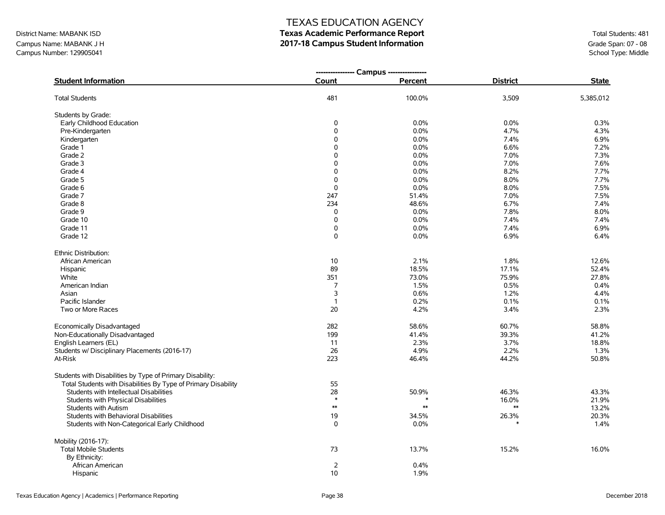Campus Name: MABANK J H **2017-18 Campus Student Information**<br>Campus Number: 129905041<br>Campus Number: 129905041 Campus Number: 129905041

## TEXAS EDUCATION AGENCY

# District Name: MABANK ISD **Texas Academic Performance Report Texas Academic Performance Report** Total Students: 481

|                                                                |                | ---------------- Campus --------------- |                 |              |
|----------------------------------------------------------------|----------------|-----------------------------------------|-----------------|--------------|
| <b>Student Information</b>                                     | Count          | Percent                                 | <b>District</b> | <b>State</b> |
| <b>Total Students</b>                                          | 481            | 100.0%                                  | 3,509           | 5,385,012    |
| Students by Grade:                                             |                |                                         |                 |              |
| Early Childhood Education                                      | 0              | 0.0%                                    | 0.0%            | 0.3%         |
| Pre-Kindergarten                                               | 0              | 0.0%                                    | 4.7%            | 4.3%         |
| Kindergarten                                                   | 0              | 0.0%                                    | 7.4%            | 6.9%         |
| Grade 1                                                        | $\mathbf 0$    | 0.0%                                    | 6.6%            | 7.2%         |
| Grade 2                                                        | 0              | 0.0%                                    | 7.0%            | 7.3%         |
| Grade 3                                                        | 0              | 0.0%                                    | 7.0%            | 7.6%         |
| Grade 4                                                        | 0              | 0.0%                                    | 8.2%            | 7.7%         |
| Grade 5                                                        | $\Omega$       | 0.0%                                    | 8.0%            | 7.7%         |
| Grade 6                                                        | $\mathbf 0$    | 0.0%                                    | 8.0%            | 7.5%         |
| Grade 7                                                        | 247            | 51.4%                                   | 7.0%            | 7.5%         |
| Grade 8                                                        | 234            | 48.6%                                   | 6.7%            | 7.4%         |
| Grade 9                                                        | $\mathbf 0$    | 0.0%                                    | 7.8%            | 8.0%         |
| Grade 10                                                       | 0              | 0.0%                                    | 7.4%            | 7.4%         |
| Grade 11                                                       | 0              | 0.0%                                    | 7.4%            | 6.9%         |
| Grade 12                                                       | 0              | 0.0%                                    | 6.9%            | 6.4%         |
| Ethnic Distribution:                                           |                |                                         |                 |              |
| African American                                               | 10             | 2.1%                                    | 1.8%            | 12.6%        |
| Hispanic                                                       | 89             | 18.5%                                   | 17.1%           | 52.4%        |
| White                                                          | 351            | 73.0%                                   | 75.9%           | 27.8%        |
| American Indian                                                | $\overline{7}$ | 1.5%                                    | 0.5%            | 0.4%         |
| Asian                                                          | 3              | 0.6%                                    | 1.2%            | 4.4%         |
| Pacific Islander                                               | $\mathbf{1}$   | 0.2%                                    | 0.1%            | 0.1%         |
| Two or More Races                                              | 20             | 4.2%                                    | 3.4%            | 2.3%         |
| Economically Disadvantaged                                     | 282            | 58.6%                                   | 60.7%           | 58.8%        |
| Non-Educationally Disadvantaged                                | 199            | 41.4%                                   | 39.3%           | 41.2%        |
| English Learners (EL)                                          | 11             | 2.3%                                    | 3.7%            | 18.8%        |
| Students w/ Disciplinary Placements (2016-17)                  | 26             | 4.9%                                    | 2.2%            | 1.3%         |
| At-Risk                                                        | 223            | 46.4%                                   | 44.2%           | 50.8%        |
| Students with Disabilities by Type of Primary Disability:      |                |                                         |                 |              |
| Total Students with Disabilities By Type of Primary Disability | 55             |                                         |                 |              |
| Students with Intellectual Disabilities                        | 28             | 50.9%                                   | 46.3%           | 43.3%        |
| Students with Physical Disabilities                            | $\ast$         |                                         | 16.0%           | 21.9%        |
| <b>Students with Autism</b>                                    | $\ast\ast$     | $**$                                    | $\ast\ast$      | 13.2%        |
| Students with Behavioral Disabilities                          | 19             | 34.5%                                   | 26.3%           | 20.3%        |
| Students with Non-Categorical Early Childhood                  | $\Omega$       | 0.0%                                    |                 | 1.4%         |
| Mobility (2016-17):                                            |                |                                         |                 |              |
| <b>Total Mobile Students</b>                                   | 73             | 13.7%                                   | 15.2%           | 16.0%        |
| By Ethnicity:                                                  |                |                                         |                 |              |
| African American                                               | $\overline{2}$ | 0.4%                                    |                 |              |
| Hispanic                                                       | 10             | 1.9%                                    |                 |              |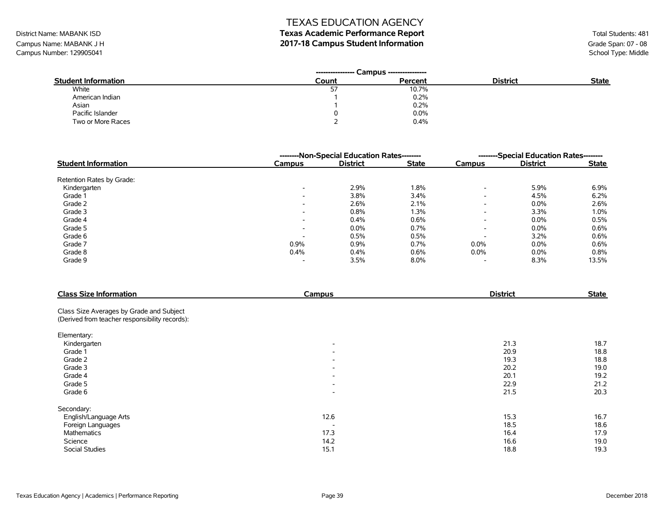# District Name: MABANK ISD **Texas Academic Performance Report Texas Academic Performance Report** Total Students: 481

Campus Name: MABANK J H **2017-18 Campus Student Information**<br>Campus Number: 129905041<br>Campus Number: 129905041 Campus Number: 129905041

| <b>Student Information</b> | Count | Percent | <b>District</b> | <b>State</b> |
|----------------------------|-------|---------|-----------------|--------------|
| White                      | ر ر   | 10.7%   |                 |              |
| American Indian            |       | 0.2%    |                 |              |
| Asian                      |       | 0.2%    |                 |              |
| Pacific Islander           |       | 0.0%    |                 |              |
| Two or More Races          |       | 0.4%    |                 |              |

|                            |                          | --------Non-Special Education Rates-------- | --------Special Education Rates-------- |                          |                 |              |
|----------------------------|--------------------------|---------------------------------------------|-----------------------------------------|--------------------------|-----------------|--------------|
| <b>Student Information</b> | <b>Campus</b>            | <b>District</b>                             | <b>State</b>                            | Campus                   | <b>District</b> | <b>State</b> |
| Retention Rates by Grade:  |                          |                                             |                                         |                          |                 |              |
| Kindergarten               | $\overline{\phantom{a}}$ | 2.9%                                        | 1.8%                                    | $\overline{\phantom{a}}$ | 5.9%            | 6.9%         |
| Grade 1                    | $\overline{\phantom{a}}$ | 3.8%                                        | 3.4%                                    | $\overline{\phantom{a}}$ | 4.5%            | 6.2%         |
| Grade 2                    | $\overline{\phantom{a}}$ | 2.6%                                        | $2.1\%$                                 | $\overline{\phantom{a}}$ | $0.0\%$         | 2.6%         |
| Grade 3                    | $\overline{\phantom{a}}$ | 0.8%                                        | 1.3%                                    | $\overline{\phantom{a}}$ | 3.3%            | 1.0%         |
| Grade 4                    | $\overline{\phantom{a}}$ | 0.4%                                        | 0.6%                                    | $\overline{\phantom{0}}$ | $0.0\%$         | 0.5%         |
| Grade 5                    | $\overline{\phantom{0}}$ | 0.0%                                        | 0.7%                                    | $\overline{\phantom{a}}$ | 0.0%            | 0.6%         |
| Grade 6                    | $\overline{\phantom{0}}$ | 0.5%                                        | 0.5%                                    |                          | 3.2%            | 0.6%         |
| Grade 7                    | 0.9%                     | 0.9%                                        | 0.7%                                    | 0.0%                     | 0.0%            | 0.6%         |
| Grade 8                    | 0.4%                     | 0.4%                                        | 0.6%                                    | $0.0\%$                  | $0.0\%$         | 0.8%         |
| Grade 9                    | $\overline{\phantom{a}}$ | 3.5%                                        | $8.0\%$                                 | $\overline{\phantom{a}}$ | 8.3%            | 13.5%        |

| <b>Class Size Information</b>                  | Campus                   | <b>District</b> | <b>State</b> |
|------------------------------------------------|--------------------------|-----------------|--------------|
| Class Size Averages by Grade and Subject       |                          |                 |              |
| (Derived from teacher responsibility records): |                          |                 |              |
| Elementary:                                    |                          |                 |              |
| Kindergarten                                   | $\overline{\phantom{a}}$ | 21.3            | 18.7         |
| Grade 1                                        | $\overline{\phantom{a}}$ | 20.9            | 18.8         |
| Grade 2                                        | $\overline{\phantom{a}}$ | 19.3            | 18.8         |
| Grade 3                                        | $\overline{\phantom{a}}$ | 20.2            | 19.0         |
| Grade 4                                        | $\overline{\phantom{a}}$ | 20.1            | 19.2         |
| Grade 5                                        | $\overline{\phantom{a}}$ | 22.9            | 21.2         |
| Grade 6                                        | $\overline{\phantom{a}}$ | 21.5            | 20.3         |
| Secondary:                                     |                          |                 |              |
| English/Language Arts                          | 12.6                     | 15.3            | 16.7         |
| Foreign Languages                              | $\overline{\phantom{0}}$ | 18.5            | 18.6         |
| Mathematics                                    | 17.3                     | 16.4            | 17.9         |
| Science                                        | 14.2                     | 16.6            | 19.0         |
| <b>Social Studies</b>                          | 15.1                     | 18.8            | 19.3         |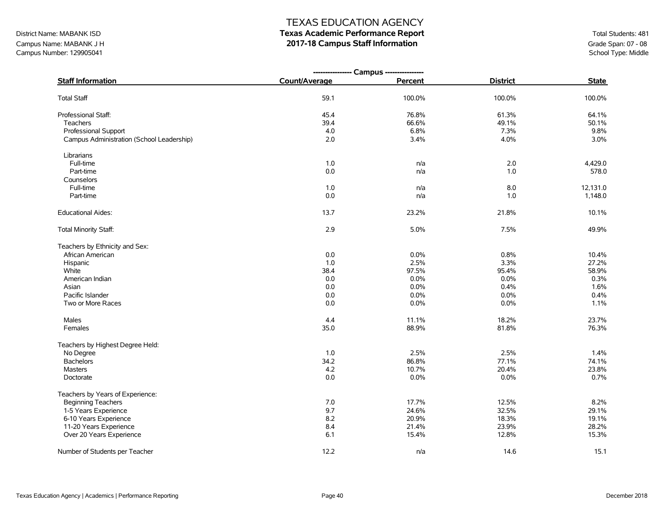# District Name: MABANK ISD **Texas Academic Performance Report Texas Academic Performance Report** Total Students: 481

Campus Name: MABANK J H<br> **2017-18 Campus Staff Information**<br>
Campus Number: 129905041<br>
School Type: Middle Campus Number: 129905041

| <b>Staff Information</b>                  | Count/Average | Percent | <b>District</b> | <b>State</b> |
|-------------------------------------------|---------------|---------|-----------------|--------------|
| <b>Total Staff</b>                        | 59.1          | 100.0%  | 100.0%          | 100.0%       |
| Professional Staff:                       | 45.4          | 76.8%   | 61.3%           | 64.1%        |
| Teachers                                  | 39.4          | 66.6%   | 49.1%           | 50.1%        |
| <b>Professional Support</b>               | 4.0           | 6.8%    | 7.3%            | 9.8%         |
| Campus Administration (School Leadership) | 2.0           | 3.4%    | 4.0%            | 3.0%         |
| Librarians                                |               |         |                 |              |
| Full-time                                 | 1.0           | n/a     | 2.0             | 4,429.0      |
| Part-time                                 | 0.0           | n/a     | 1.0             | 578.0        |
| Counselors                                |               |         |                 |              |
| Full-time                                 | 1.0           | n/a     | 8.0             | 12,131.0     |
| Part-time                                 | 0.0           | n/a     | 1.0             | 1,148.0      |
| <b>Educational Aides:</b>                 | 13.7          | 23.2%   | 21.8%           | 10.1%        |
| <b>Total Minority Staff:</b>              | 2.9           | 5.0%    | 7.5%            | 49.9%        |
| Teachers by Ethnicity and Sex:            |               |         |                 |              |
| African American                          | 0.0           | 0.0%    | 0.8%            | 10.4%        |
| Hispanic                                  | 1.0           | 2.5%    | 3.3%            | 27.2%        |
| White                                     | 38.4          | 97.5%   | 95.4%           | 58.9%        |
| American Indian                           | 0.0           | 0.0%    | 0.0%            | 0.3%         |
| Asian                                     | 0.0           | 0.0%    | 0.4%            | 1.6%         |
| Pacific Islander                          | $0.0\,$       | 0.0%    | 0.0%            | 0.4%         |
| Two or More Races                         | 0.0           | 0.0%    | 0.0%            | 1.1%         |
| Males                                     | 4.4           | 11.1%   | 18.2%           | 23.7%        |
| Females                                   | 35.0          | 88.9%   | 81.8%           | 76.3%        |
| Teachers by Highest Degree Held:          |               |         |                 |              |
| No Degree                                 | 1.0           | 2.5%    | 2.5%            | 1.4%         |
| <b>Bachelors</b>                          | 34.2          | 86.8%   | 77.1%           | 74.1%        |
| <b>Masters</b>                            | 4.2           | 10.7%   | 20.4%           | 23.8%        |
| Doctorate                                 | 0.0           | 0.0%    | 0.0%            | 0.7%         |
| Teachers by Years of Experience:          |               |         |                 |              |
| <b>Beginning Teachers</b>                 | 7.0           | 17.7%   | 12.5%           | 8.2%         |
| 1-5 Years Experience                      | 9.7           | 24.6%   | 32.5%           | 29.1%        |
| 6-10 Years Experience                     | 8.2           | 20.9%   | 18.3%           | 19.1%        |
| 11-20 Years Experience                    | 8.4           | 21.4%   | 23.9%           | 28.2%        |
| Over 20 Years Experience                  | 6.1           | 15.4%   | 12.8%           | 15.3%        |
| Number of Students per Teacher            | 12.2          | n/a     | 14.6            | 15.1         |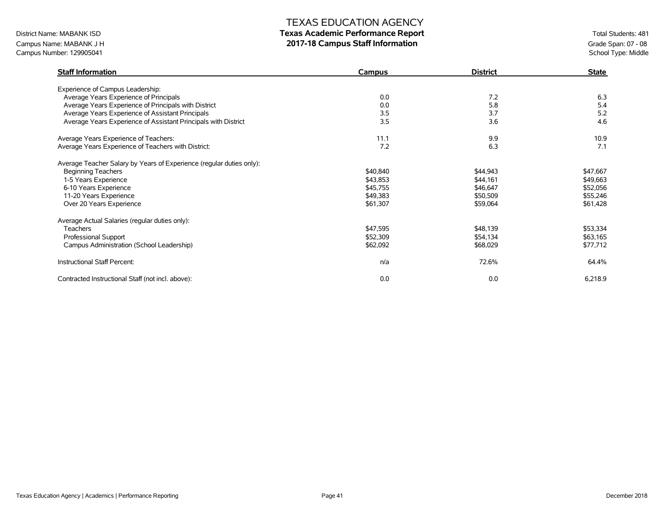# District Name: MABANK ISD **Texas Academic Performance Report Texas Academic Performance Report** Total Students: 481

Campus Name: MABANK J H<br> **2017-18 Campus Staff Information**<br>
Campus Number: 129905041<br>
School Type: Middle Campus Number: 129905041

| <b>Staff Information</b>                                             | <b>Campus</b> | <b>District</b> | <b>State</b> |
|----------------------------------------------------------------------|---------------|-----------------|--------------|
| Experience of Campus Leadership:                                     |               |                 |              |
| Average Years Experience of Principals                               | 0.0           | 7.2             | 6.3          |
| Average Years Experience of Principals with District                 | 0.0           | 5.8             | 5.4          |
| Average Years Experience of Assistant Principals                     | 3.5           | 3.7             | 5.2          |
| Average Years Experience of Assistant Principals with District       | 3.5           | 3.6             | 4.6          |
| Average Years Experience of Teachers:                                | 11.1          | 9.9             | 10.9         |
| Average Years Experience of Teachers with District:                  | 7.2           | 6.3             | 7.1          |
| Average Teacher Salary by Years of Experience (regular duties only): |               |                 |              |
| <b>Beginning Teachers</b>                                            | \$40,840      | \$44,943        | \$47,667     |
| 1-5 Years Experience                                                 | \$43,853      | \$44,161        | \$49,663     |
| 6-10 Years Experience                                                | \$45,755      | \$46,647        | \$52,056     |
| 11-20 Years Experience                                               | \$49,383      | \$50,509        | \$55,246     |
| Over 20 Years Experience                                             | \$61,307      | \$59,064        | \$61,428     |
| Average Actual Salaries (regular duties only):                       |               |                 |              |
| <b>Teachers</b>                                                      | \$47,595      | \$48,139        | \$53,334     |
| Professional Support                                                 | \$52,309      | \$54,134        | \$63,165     |
| Campus Administration (School Leadership)                            | \$62,092      | \$68,029        | \$77,712     |
| Instructional Staff Percent:                                         | n/a           | 72.6%           | 64.4%        |
| Contracted Instructional Staff (not incl. above):                    | 0.0           | 0.0             | 6,218.9      |